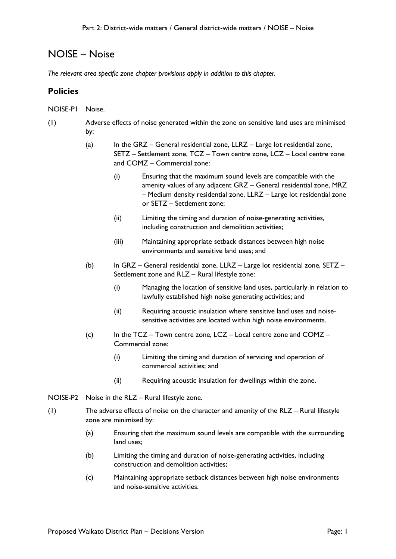# NOISE – Noise

*The relevant area specific zone chapter provisions apply in addition to this chapter.*

## **Policies**

- NOISE-P1 Noise.
- (1) Adverse effects of noise generated within the zone on sensitive land uses are minimised by:
	- (a) In the GRZ General residential zone, LLRZ Large lot residential zone, SETZ – Settlement zone, TCZ – Town centre zone, LCZ – Local centre zone and COMZ – Commercial zone:
		- (i) Ensuring that the maximum sound levels are compatible with the amenity values of any adjacent GRZ – General residential zone, MRZ – Medium density residential zone, LLRZ – Large lot residential zone or SETZ – Settlement zone;
		- (ii) Limiting the timing and duration of noise-generating activities, including construction and demolition activities;
		- (iii) Maintaining appropriate setback distances between high noise environments and sensitive land uses; and
	- (b) In GRZ General residential zone, LLRZ Large lot residential zone, SETZ Settlement zone and RLZ – Rural lifestyle zone:
		- (i) Managing the location of sensitive land uses, particularly in relation to lawfully established high noise generating activities; and
		- (ii) Requiring acoustic insulation where sensitive land uses and noisesensitive activities are located within high noise environments.
	- (c) In the TCZ Town centre zone, LCZ Local centre zone and COMZ Commercial zone:
		- (i) Limiting the timing and duration of servicing and operation of commercial activities; and
		- (ii) Requiring acoustic insulation for dwellings within the zone.
- NOISE-P2 Noise in the RLZ Rural lifestyle zone.
- (1) The adverse effects of noise on the character and amenity of the RLZ Rural lifestyle zone are minimised by:
	- (a) Ensuring that the maximum sound levels are compatible with the surrounding land uses;
	- (b) Limiting the timing and duration of noise-generating activities, including construction and demolition activities;
	- (c) Maintaining appropriate setback distances between high noise environments and noise-sensitive activities.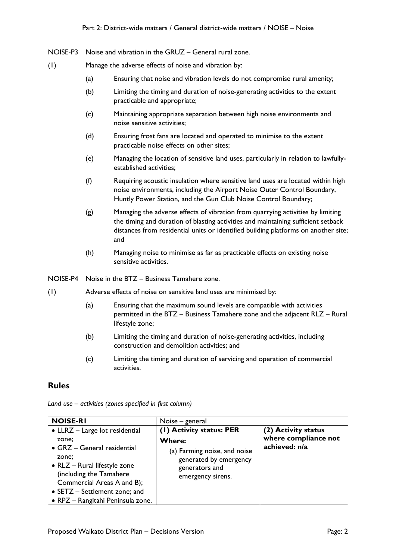- NOISE-P3 Noise and vibration in the GRUZ General rural zone.
- (1) Manage the adverse effects of noise and vibration by:
	- (a) Ensuring that noise and vibration levels do not compromise rural amenity;
	- (b) Limiting the timing and duration of noise-generating activities to the extent practicable and appropriate;
	- (c) Maintaining appropriate separation between high noise environments and noise sensitive activities;
	- (d) Ensuring frost fans are located and operated to minimise to the extent practicable noise effects on other sites;
	- (e) Managing the location of sensitive land uses, particularly in relation to lawfullyestablished activities;
	- (f) Requiring acoustic insulation where sensitive land uses are located within high noise environments, including the Airport Noise Outer Control Boundary, Huntly Power Station, and the Gun Club Noise Control Boundary;
	- (g) Managing the adverse effects of vibration from quarrying activities by limiting the timing and duration of blasting activities and maintaining sufficient setback distances from residential units or identified building platforms on another site; and
	- (h) Managing noise to minimise as far as practicable effects on existing noise sensitive activities.
- NOISE-P4 Noise in the BTZ Business Tamahere zone.
- (1) Adverse effects of noise on sensitive land uses are minimised by:
	- (a) Ensuring that the maximum sound levels are compatible with activities permitted in the BTZ – Business Tamahere zone and the adjacent RLZ – Rural lifestyle zone;
	- (b) Limiting the timing and duration of noise-generating activities, including construction and demolition activities; and
	- (c) Limiting the timing and duration of servicing and operation of commercial activities.

#### **Rules**

| <b>NOISE-RI</b>                                                                                                                                                                                                                                | Noise – general                                                                                                                     |                                                              |
|------------------------------------------------------------------------------------------------------------------------------------------------------------------------------------------------------------------------------------------------|-------------------------------------------------------------------------------------------------------------------------------------|--------------------------------------------------------------|
| • LLRZ - Large lot residential<br>zone;<br>• GRZ - General residential<br>zone;<br>• RLZ - Rural lifestyle zone<br>(including the Tamahere<br>Commercial Areas A and B);<br>• SETZ - Settlement zone; and<br>• RPZ – Rangitahi Peninsula zone. | (1) Activity status: PER<br>Where:<br>(a) Farming noise, and noise<br>generated by emergency<br>generators and<br>emergency sirens. | (2) Activity status<br>where compliance not<br>achieved: n/a |

*Land use – activities (zones specified in first column)*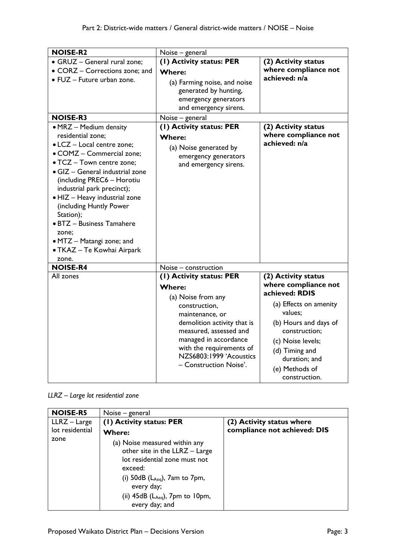| <b>NOISE-R2</b>                                                                                                                                                                                                                                                                                                                                                                                                               | Noise - general                                                                                                                                                                                                                                                        |                                                                                                                                                                                                                                         |
|-------------------------------------------------------------------------------------------------------------------------------------------------------------------------------------------------------------------------------------------------------------------------------------------------------------------------------------------------------------------------------------------------------------------------------|------------------------------------------------------------------------------------------------------------------------------------------------------------------------------------------------------------------------------------------------------------------------|-----------------------------------------------------------------------------------------------------------------------------------------------------------------------------------------------------------------------------------------|
| · GRUZ - General rural zone;<br>• CORZ - Corrections zone; and                                                                                                                                                                                                                                                                                                                                                                | (1) Activity status: PER<br><b>Where:</b>                                                                                                                                                                                                                              | (2) Activity status<br>where compliance not                                                                                                                                                                                             |
| • FUZ - Future urban zone.                                                                                                                                                                                                                                                                                                                                                                                                    | (a) Farming noise, and noise<br>generated by hunting,<br>emergency generators<br>and emergency sirens.                                                                                                                                                                 | achieved: n/a                                                                                                                                                                                                                           |
| <b>NOISE-R3</b>                                                                                                                                                                                                                                                                                                                                                                                                               | Noise – general                                                                                                                                                                                                                                                        |                                                                                                                                                                                                                                         |
| • MRZ - Medium density<br>residential zone;<br>• LCZ - Local centre zone;<br>• COMZ - Commercial zone;<br>• TCZ - Town centre zone;<br>$\bullet$ GIZ - General industrial zone<br>(including PREC6 - Horotiu<br>industrial park precinct);<br>• HIZ - Heavy industrial zone<br>(including Huntly Power<br>Station);<br>· BTZ - Business Tamahere<br>zone:<br>• MTZ - Matangi zone; and<br>• TKAZ - Te Kowhai Airpark<br>zone. | (I) Activity status: PER<br><b>Where:</b><br>(a) Noise generated by<br>emergency generators<br>and emergency sirens.                                                                                                                                                   | (2) Activity status<br>where compliance not<br>achieved: n/a                                                                                                                                                                            |
| <b>NOISE-R4</b>                                                                                                                                                                                                                                                                                                                                                                                                               | Noise - construction                                                                                                                                                                                                                                                   |                                                                                                                                                                                                                                         |
| All zones                                                                                                                                                                                                                                                                                                                                                                                                                     | (1) Activity status: PER<br><b>Where:</b><br>(a) Noise from any<br>construction,<br>maintenance, or<br>demolition activity that is<br>measured, assessed and<br>managed in accordance<br>with the requirements of<br>NZS6803:1999 'Acoustics<br>- Construction Noise'. | (2) Activity status<br>where compliance not<br>achieved: RDIS<br>(a) Effects on amenity<br>values:<br>(b) Hours and days of<br>construction;<br>(c) Noise levels;<br>(d) Timing and<br>duration; and<br>(e) Methods of<br>construction. |

|  |  | LLRZ - Large lot residential zone |  |
|--|--|-----------------------------------|--|
|--|--|-----------------------------------|--|

| <b>NOISE-R5</b> | Noise – general                                                                                                                                                                                                                           |                              |
|-----------------|-------------------------------------------------------------------------------------------------------------------------------------------------------------------------------------------------------------------------------------------|------------------------------|
| LLRZ - Large    | (1) Activity status: PER                                                                                                                                                                                                                  | (2) Activity status where    |
| lot residential | <b>Where:</b>                                                                                                                                                                                                                             | compliance not achieved: DIS |
| zone            | (a) Noise measured within any<br>other site in the LLRZ - Large<br>lot residential zone must not<br>exceed:<br>(i) $50dB$ ( $L_{Aeq}$ ), $7am$ to $7pm$ ,<br>every day;<br>(ii) $45dB$ ( $L_{Aeq}$ ), $7pm$ to $10pm$ ,<br>every day; and |                              |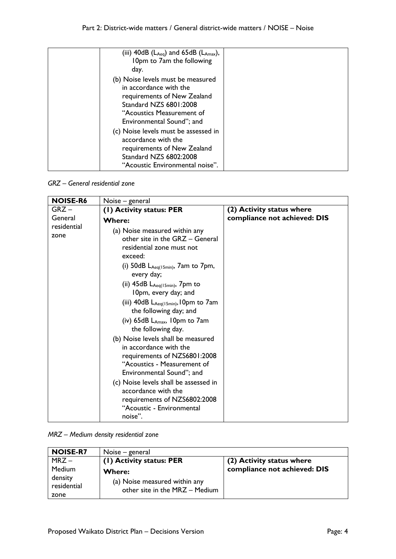| (iii) $40dB$ (L <sub>Aeq</sub> ) and $65dB$ (L <sub>Amax</sub> ), |  |
|-------------------------------------------------------------------|--|
| 10pm to 7am the following                                         |  |
| day.                                                              |  |
| (b) Noise levels must be measured                                 |  |
| in accordance with the                                            |  |
| requirements of New Zealand                                       |  |
| Standard NZS 6801:2008                                            |  |
| "Acoustics Measurement of                                         |  |
| Environmental Sound"; and                                         |  |
| (c) Noise levels must be assessed in                              |  |
| accordance with the                                               |  |
| requirements of New Zealand                                       |  |
| <b>Standard NZS 6802:2008</b>                                     |  |
| "Acoustic Environmental noise".                                   |  |

*GRZ – General residential zone*

| <b>NOISE-R6</b>     | Noise – general                                                                                                                                                                                                                                                                                                                                                                                                                                                                                                                                                                                                                                                       |                              |
|---------------------|-----------------------------------------------------------------------------------------------------------------------------------------------------------------------------------------------------------------------------------------------------------------------------------------------------------------------------------------------------------------------------------------------------------------------------------------------------------------------------------------------------------------------------------------------------------------------------------------------------------------------------------------------------------------------|------------------------------|
| $GRZ -$             | (1) Activity status: PER                                                                                                                                                                                                                                                                                                                                                                                                                                                                                                                                                                                                                                              | (2) Activity status where    |
| General             | <b>Where:</b>                                                                                                                                                                                                                                                                                                                                                                                                                                                                                                                                                                                                                                                         | compliance not achieved: DIS |
| residential<br>zone | (a) Noise measured within any<br>other site in the GRZ - General<br>residential zone must not<br>exceed:<br>(i) 50dB $L_{Aeq(15min)}$ , 7am to 7pm,<br>every day;<br>(ii) 45dB LAeq(15min), 7pm to<br>10pm, every day; and<br>(iii) $40dB$ $L_{Aeq(15min)}$ , 10pm to 7am<br>the following day; and<br>(iv) $65dB$ $L_{Amax}$ , 10pm to 7am<br>the following day.<br>(b) Noise levels shall be measured<br>in accordance with the<br>requirements of NZS6801:2008<br>"Acoustics - Measurement of<br>Environmental Sound"; and<br>(c) Noise levels shall be assessed in<br>accordance with the<br>requirements of NZS6802:2008<br>"Acoustic - Environmental<br>noise". |                              |

*MRZ – Medium density residential zone*

| <b>NOISE-R7</b>                                 | Noise – general                                                           |                              |
|-------------------------------------------------|---------------------------------------------------------------------------|------------------------------|
| $MRZ -$                                         | (1) Activity status: PER                                                  | (2) Activity status where    |
| <b>Medium</b><br>density<br>residential<br>zone | Where:<br>(a) Noise measured within any<br>other site in the MRZ - Medium | compliance not achieved: DIS |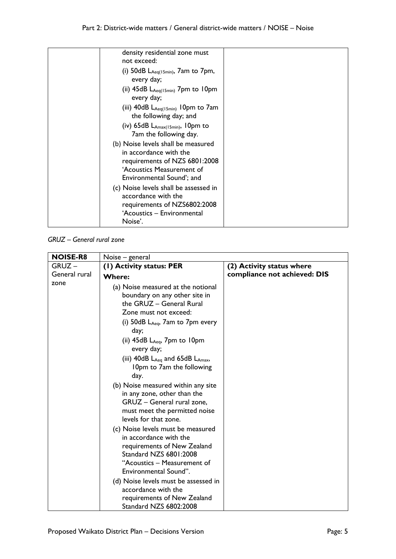| density residential zone must<br>not exceed:                                                                                                            |  |
|---------------------------------------------------------------------------------------------------------------------------------------------------------|--|
| (i) $50dB$ $L_{Aeq(15min)}$ , 7am to 7pm,<br>every day;                                                                                                 |  |
| (ii) $45dB$ $L_{Aeq(15min)}$ 7pm to 10pm<br>every day;                                                                                                  |  |
| (iii) $40dB$ L <sub>Aeq(15min)</sub> 10pm to 7am<br>the following day; and                                                                              |  |
| (iv) $65dB$ $L_{Amax(15min)}$ , 10pm to<br>7am the following day.                                                                                       |  |
| (b) Noise levels shall be measured<br>in accordance with the<br>requirements of NZS 6801:2008<br>'Acoustics Measurement of<br>Environmental Sound'; and |  |
| (c) Noise levels shall be assessed in<br>accordance with the<br>requirements of NZS6802:2008<br>'Acoustics – Environmental<br>Noise'.                   |  |

*GRUZ – General rural zone*

| <b>NOISE-R8</b> | Noise – general                                              |                              |
|-----------------|--------------------------------------------------------------|------------------------------|
| $GRUZ -$        | (I) Activity status: PER                                     | (2) Activity status where    |
| General rural   | <b>Where:</b>                                                | compliance not achieved: DIS |
| zone            | (a) Noise measured at the notional                           |                              |
|                 | boundary on any other site in                                |                              |
|                 | the GRUZ - General Rural                                     |                              |
|                 | Zone must not exceed:                                        |                              |
|                 | (i) $50dB$ $L_{Aeq}$ , $7am$ to $7pm$ every                  |                              |
|                 | day;                                                         |                              |
|                 | (ii) $45dB$ $L_{Aeq}$ , $7pm$ to $10pm$                      |                              |
|                 | every day;                                                   |                              |
|                 | (iii) $40dB$ L <sub>Aeq</sub> and $65dB$ L <sub>Amax</sub> , |                              |
|                 | 10pm to 7am the following                                    |                              |
|                 | day.                                                         |                              |
|                 | (b) Noise measured within any site                           |                              |
|                 | in any zone, other than the                                  |                              |
|                 | GRUZ - General rural zone,                                   |                              |
|                 | must meet the permitted noise                                |                              |
|                 | levels for that zone.                                        |                              |
|                 | (c) Noise levels must be measured                            |                              |
|                 | in accordance with the                                       |                              |
|                 | requirements of New Zealand<br><b>Standard NZS 6801:2008</b> |                              |
|                 | "Acoustics – Measurement of                                  |                              |
|                 | Environmental Sound".                                        |                              |
|                 | (d) Noise levels must be assessed in                         |                              |
|                 | accordance with the                                          |                              |
|                 | requirements of New Zealand                                  |                              |
|                 | Standard NZS 6802:2008                                       |                              |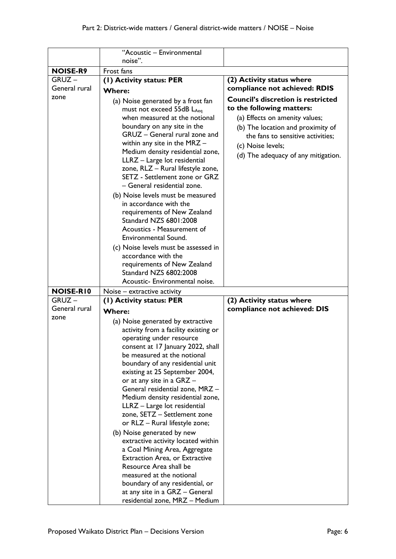|                                 | "Acoustic - Environmental                                                                                                                                                                                                                                                                                                                                                                                                                                                                                                                                                                                                                                                                                                                                                   |                                                                                                                                                                                                                                                |
|---------------------------------|-----------------------------------------------------------------------------------------------------------------------------------------------------------------------------------------------------------------------------------------------------------------------------------------------------------------------------------------------------------------------------------------------------------------------------------------------------------------------------------------------------------------------------------------------------------------------------------------------------------------------------------------------------------------------------------------------------------------------------------------------------------------------------|------------------------------------------------------------------------------------------------------------------------------------------------------------------------------------------------------------------------------------------------|
|                                 | noise".                                                                                                                                                                                                                                                                                                                                                                                                                                                                                                                                                                                                                                                                                                                                                                     |                                                                                                                                                                                                                                                |
| <b>NOISE-R9</b>                 | Frost fans                                                                                                                                                                                                                                                                                                                                                                                                                                                                                                                                                                                                                                                                                                                                                                  |                                                                                                                                                                                                                                                |
| $GRUZ -$                        | (I) Activity status: PER                                                                                                                                                                                                                                                                                                                                                                                                                                                                                                                                                                                                                                                                                                                                                    | (2) Activity status where                                                                                                                                                                                                                      |
| General rural                   | <b>Where:</b>                                                                                                                                                                                                                                                                                                                                                                                                                                                                                                                                                                                                                                                                                                                                                               | compliance not achieved: RDIS                                                                                                                                                                                                                  |
| zone                            | (a) Noise generated by a frost fan<br>must not exceed 55dB LAeq<br>when measured at the notional<br>boundary on any site in the<br>GRUZ - General rural zone and<br>within any site in the $MRZ -$<br>Medium density residential zone,<br>LLRZ - Large lot residential<br>zone, RLZ - Rural lifestyle zone,<br>SETZ - Settlement zone or GRZ<br>- General residential zone.<br>(b) Noise levels must be measured<br>in accordance with the<br>requirements of New Zealand<br>Standard NZS 6801:2008<br>Acoustics - Measurement of<br>Environmental Sound.<br>(c) Noise levels must be assessed in<br>accordance with the<br>requirements of New Zealand                                                                                                                     | <b>Council's discretion is restricted</b><br>to the following matters:<br>(a) Effects on amenity values;<br>(b) The location and proximity of<br>the fans to sensitive activities;<br>(c) Noise levels;<br>(d) The adequacy of any mitigation. |
|                                 | Standard NZS 6802:2008                                                                                                                                                                                                                                                                                                                                                                                                                                                                                                                                                                                                                                                                                                                                                      |                                                                                                                                                                                                                                                |
|                                 | Acoustic- Environmental noise.                                                                                                                                                                                                                                                                                                                                                                                                                                                                                                                                                                                                                                                                                                                                              |                                                                                                                                                                                                                                                |
| <b>NOISE-RIO</b>                | Noise – extractive activity                                                                                                                                                                                                                                                                                                                                                                                                                                                                                                                                                                                                                                                                                                                                                 |                                                                                                                                                                                                                                                |
| GRUZ –<br>General rural<br>zone | (I) Activity status: PER<br><b>Where:</b><br>(a) Noise generated by extractive<br>activity from a facility existing or<br>operating under resource<br>consent at 17 January 2022, shall<br>be measured at the notional<br>boundary of any residential unit<br>existing at 25 September 2004,<br>or at any site in a GRZ -<br>General residential zone, MRZ -<br>Medium density residential zone,<br>LLRZ - Large lot residential<br>zone, SETZ - Settlement zone<br>or RLZ - Rural lifestyle zone;<br>(b) Noise generated by new<br>extractive activity located within<br>a Coal Mining Area, Aggregate<br><b>Extraction Area, or Extractive</b><br>Resource Area shall be<br>measured at the notional<br>boundary of any residential, or<br>at any site in a GRZ - General | (2) Activity status where<br>compliance not achieved: DIS                                                                                                                                                                                      |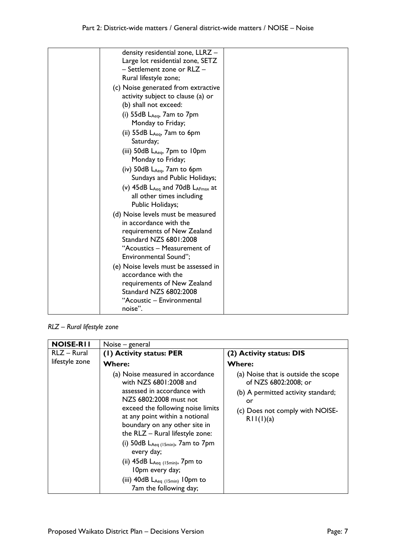| density residential zone, LLRZ -                             |  |
|--------------------------------------------------------------|--|
| Large lot residential zone, SETZ                             |  |
| - Settlement zone or RLZ -                                   |  |
| Rural lifestyle zone;                                        |  |
| (c) Noise generated from extractive                          |  |
| activity subject to clause (a) or                            |  |
| (b) shall not exceed:                                        |  |
| (i) $55dB$ $L_{Aeq}$ , $7am$ to $7pm$                        |  |
| Monday to Friday;                                            |  |
| (ii) $55dB$ $L_{Aeq}$ , $7am$ to $6pm$                       |  |
| Saturday;                                                    |  |
| (iii) $50dB LAeq$ , 7pm to 10pm                              |  |
| Monday to Friday;                                            |  |
| (iv) $50$ dB $L_{Aeq}$ , 7am to 6pm                          |  |
| Sundays and Public Holidays;                                 |  |
| (v) $45dB$ L <sub>Aeq</sub> and $70dB$ L <sub>AFmax</sub> at |  |
| all other times including                                    |  |
| Public Holidays;                                             |  |
| (d) Noise levels must be measured                            |  |
| in accordance with the                                       |  |
| requirements of New Zealand                                  |  |
| Standard NZS 6801:2008                                       |  |
| "Acoustics – Measurement of                                  |  |
| Environmental Sound";                                        |  |
| (e) Noise levels must be assessed in                         |  |
| accordance with the                                          |  |
| requirements of New Zealand                                  |  |
| Standard NZS 6802:2008                                       |  |
| "Acoustic - Environmental                                    |  |
| noise".                                                      |  |

*RLZ – Rural lifestyle zone* 

| <b>NOISE-RII</b> | Noise – general                                                                                                                                                                                                                                                                                                                                                                                                                                                   |                                                                                                                                                         |
|------------------|-------------------------------------------------------------------------------------------------------------------------------------------------------------------------------------------------------------------------------------------------------------------------------------------------------------------------------------------------------------------------------------------------------------------------------------------------------------------|---------------------------------------------------------------------------------------------------------------------------------------------------------|
| RLZ - Rural      | (1) Activity status: PER                                                                                                                                                                                                                                                                                                                                                                                                                                          | (2) Activity status: DIS                                                                                                                                |
| lifestyle zone   | <b>Where:</b>                                                                                                                                                                                                                                                                                                                                                                                                                                                     | <b>Where:</b>                                                                                                                                           |
|                  | (a) Noise measured in accordance<br>with NZS 6801:2008 and<br>assessed in accordance with<br>NZS 6802:2008 must not<br>exceed the following noise limits<br>at any point within a notional<br>boundary on any other site in<br>the $RLZ - Rural$ lifestyle zone:<br>(i) 50dB $L_{Aeq (15min)}$ , 7am to 7pm<br>every day;<br>(ii) $45dB$ L <sub>Aeq (15min)</sub> , 7pm to<br>10pm every day;<br>(iii) $40dB$ $L_{Aeq}$ (15min) 10pm to<br>7am the following day; | (a) Noise that is outside the scope<br>of NZS 6802:2008; or<br>(b) A permitted activity standard;<br>or<br>(c) Does not comply with NOISE-<br>RII(I)(a) |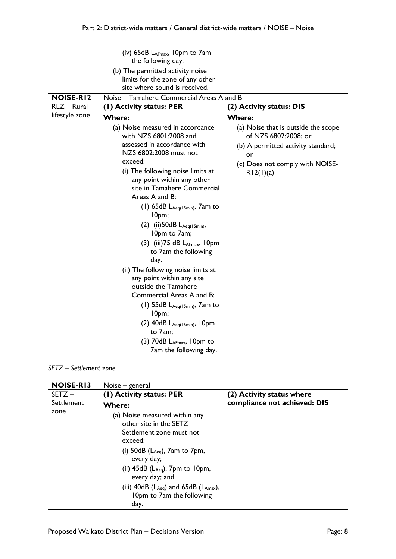|                                 | (iv) 65dB LAFmax, 10pm to 7am<br>the following day.                   |                                                             |
|---------------------------------|-----------------------------------------------------------------------|-------------------------------------------------------------|
|                                 | (b) The permitted activity noise                                      |                                                             |
|                                 | limits for the zone of any other<br>site where sound is received.     |                                                             |
|                                 |                                                                       |                                                             |
| <b>NOISE-RI2</b><br>RLZ - Rural | Noise - Tamahere Commercial Areas A and B<br>(I) Activity status: PER | (2) Activity status: DIS                                    |
| lifestyle zone                  |                                                                       |                                                             |
|                                 | <b>Where:</b>                                                         | <b>Where:</b>                                               |
|                                 | (a) Noise measured in accordance<br>with NZS 6801:2008 and            | (a) Noise that is outside the scope<br>of NZS 6802:2008; or |
|                                 | assessed in accordance with<br>NZS 6802:2008 must not                 | (b) A permitted activity standard;<br>or                    |
|                                 | exceed:                                                               | (c) Does not comply with NOISE-                             |
|                                 | (i) The following noise limits at                                     | R12(1)(a)                                                   |
|                                 | any point within any other                                            |                                                             |
|                                 | site in Tamahere Commercial                                           |                                                             |
|                                 | Areas A and B:                                                        |                                                             |
|                                 | (1) $65dB$ $L_{Aeq(15min)}$ , 7am to<br>10pm;                         |                                                             |
|                                 | $(2)$ (ii) 50dB $L_{Aeq(15min)}$ ,<br>10pm to 7am;                    |                                                             |
|                                 | $(3)$ (iii) 75 dB L <sub>AFmax</sub> , 10pm<br>to 7am the following   |                                                             |
|                                 | day.                                                                  |                                                             |
|                                 | (ii) The following noise limits at                                    |                                                             |
|                                 | any point within any site                                             |                                                             |
|                                 | outside the Tamahere                                                  |                                                             |
|                                 | Commercial Areas A and B:                                             |                                                             |
|                                 | $(1)$ 55dB L <sub>Aeq(15min)</sub> , 7am to<br>10pm;                  |                                                             |
|                                 | $(2)$ 40dB L <sub>Aeq(15min)</sub> , 10pm                             |                                                             |
|                                 | to 7am;                                                               |                                                             |
|                                 | (3) 70dB LAFmax, 10pm to                                              |                                                             |
|                                 | 7am the following day.                                                |                                                             |

*SETZ – Settlement zone*

| <b>NOISE-RI3</b> | Noise – general                                                                                                                                                                                                                                                                                                           |                              |
|------------------|---------------------------------------------------------------------------------------------------------------------------------------------------------------------------------------------------------------------------------------------------------------------------------------------------------------------------|------------------------------|
| $SETZ -$         | (1) Activity status: PER                                                                                                                                                                                                                                                                                                  | (2) Activity status where    |
| Settlement       | <b>Where:</b>                                                                                                                                                                                                                                                                                                             | compliance not achieved: DIS |
| zone             | (a) Noise measured within any<br>other site in the SETZ $-$<br>Settlement zone must not<br>exceed:<br>(i) $50dB$ ( $L_{Aeq}$ ), $7am$ to $7pm$ ,<br>every day;<br>(ii) $45dB$ ( $L_{Aeq}$ ), 7pm to 10pm,<br>every day; and<br>(iii) $40dB$ ( $L_{Aeq}$ ) and $65dB$ ( $L_{Amax}$ ),<br>10pm to 7am the following<br>day. |                              |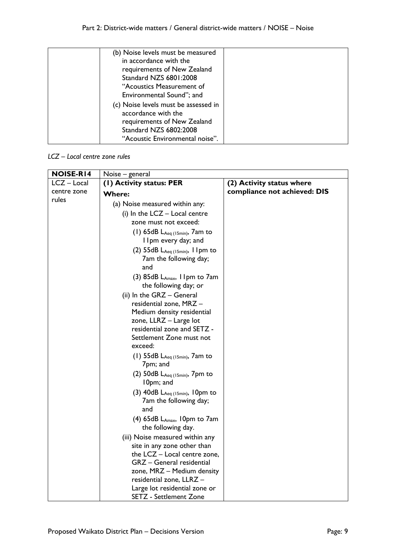| (b) Noise levels must be measured<br>in accordance with the<br>requirements of New Zealand<br>Standard NZS 6801:2008<br>"Acoustics Measurement of                                    |  |
|--------------------------------------------------------------------------------------------------------------------------------------------------------------------------------------|--|
| Environmental Sound"; and<br>(c) Noise levels must be assessed in<br>accordance with the<br>requirements of New Zealand<br>Standard NZS 6802:2008<br>"Acoustic Environmental noise". |  |

# *LCZ – Local centre zone rules*

| <b>NOISE-RI4</b> | Noise - general                                         |                              |
|------------------|---------------------------------------------------------|------------------------------|
| LCZ - Local      | (1) Activity status: PER                                | (2) Activity status where    |
| centre zone      | <b>Where:</b>                                           | compliance not achieved: DIS |
| rules            | (a) Noise measured within any:                          |                              |
|                  | (i) In the $LCZ$ – Local centre                         |                              |
|                  | zone must not exceed:                                   |                              |
|                  | (1) 65dB $L_{Aeq (15min)}$ , 7am to                     |                              |
|                  | I Ipm every day; and                                    |                              |
|                  | (2) $55dB$ $L_{Aeq}$ (15min), 11pm to                   |                              |
|                  | 7am the following day;                                  |                              |
|                  | and                                                     |                              |
|                  | $(3)$ 85dB L <sub>Amax</sub> , 11pm to 7am              |                              |
|                  | the following day; or                                   |                              |
|                  | (ii) In the GRZ - General                               |                              |
|                  | residential zone, MRZ -                                 |                              |
|                  | Medium density residential<br>zone, LLRZ - Large lot    |                              |
|                  | residential zone and SETZ -                             |                              |
|                  | Settlement Zone must not                                |                              |
|                  | exceed:                                                 |                              |
|                  | (1) $55dB$ L <sub>Aeq (15min)</sub> , 7am to            |                              |
|                  | 7pm; and                                                |                              |
|                  | (2) $50dB$ $L_{Aeq}$ (15min), $7pm$ to                  |                              |
|                  | 10pm; and                                               |                              |
|                  | $(3)$ 40dB L <sub>Aeq (15min)</sub> , 10pm to           |                              |
|                  | 7am the following day;                                  |                              |
|                  | and                                                     |                              |
|                  | $(4)$ 65dB L <sub>Amax</sub> , 10pm to 7am              |                              |
|                  | the following day.                                      |                              |
|                  | (iii) Noise measured within any                         |                              |
|                  | site in any zone other than                             |                              |
|                  | the LCZ - Local centre zone,                            |                              |
|                  | GRZ - General residential<br>zone, MRZ - Medium density |                              |
|                  | residential zone, LLRZ -                                |                              |
|                  | Large lot residential zone or                           |                              |
|                  | SETZ - Settlement Zone                                  |                              |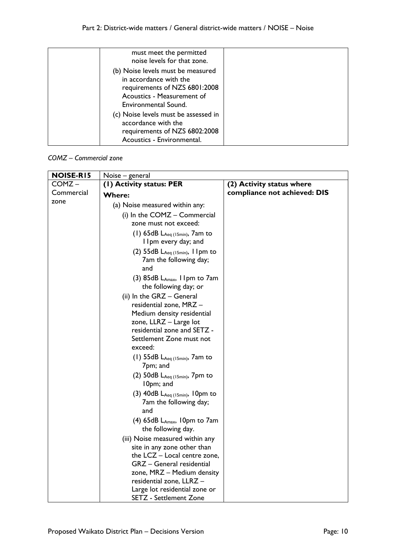| must meet the permitted<br>noise levels for that zone.                                                                                             |  |
|----------------------------------------------------------------------------------------------------------------------------------------------------|--|
| (b) Noise levels must be measured<br>in accordance with the<br>requirements of NZS 6801:2008<br>Acoustics - Measurement of<br>Environmental Sound. |  |
| (c) Noise levels must be assessed in<br>accordance with the<br>requirements of NZS 6802:2008<br>Acoustics - Environmental.                         |  |

*COMZ – Commercial zone*

| <b>NOISE-RI5</b> | Noise – general                                                                |                              |
|------------------|--------------------------------------------------------------------------------|------------------------------|
| COMZ-            | (I) Activity status: PER                                                       | (2) Activity status where    |
| Commercial       | <b>Where:</b>                                                                  | compliance not achieved: DIS |
| zone             | (a) Noise measured within any:                                                 |                              |
|                  | (i) In the COMZ - Commercial                                                   |                              |
|                  | zone must not exceed:                                                          |                              |
|                  | $(1)$ 65dB L <sub>Aeq (15min)</sub> , 7am to<br>I Ipm every day; and           |                              |
|                  | $(2)$ 55dB L <sub>Aeq (15min)</sub> , 11pm to<br>7am the following day;<br>and |                              |
|                  | $(3)$ 85dB L <sub>Amax</sub> , 1 Ipm to 7 am<br>the following day; or          |                              |
|                  | (ii) In the GRZ - General<br>residential zone, MRZ -                           |                              |
|                  | Medium density residential                                                     |                              |
|                  | zone, LLRZ - Large lot<br>residential zone and SETZ -                          |                              |
|                  | Settlement Zone must not                                                       |                              |
|                  | exceed:                                                                        |                              |
|                  | (1) 55dB $L_{Aeq (15min)}$ , 7am to<br>7pm; and                                |                              |
|                  | (2) 50dB LAeq (15min), 7pm to<br>10pm; and                                     |                              |
|                  | (3) $40dB$ $L_{Aeq (15min)}$ , 10pm to<br>7am the following day;<br>and        |                              |
|                  | $(4)$ 65dB L <sub>Amax</sub> , 10pm to 7am<br>the following day.               |                              |
|                  | (iii) Noise measured within any                                                |                              |
|                  | site in any zone other than                                                    |                              |
|                  | the LCZ - Local centre zone,                                                   |                              |
|                  | GRZ - General residential                                                      |                              |
|                  | zone, MRZ - Medium density<br>residential zone, LLRZ -                         |                              |
|                  | Large lot residential zone or                                                  |                              |
|                  | <b>SETZ</b> - Settlement Zone                                                  |                              |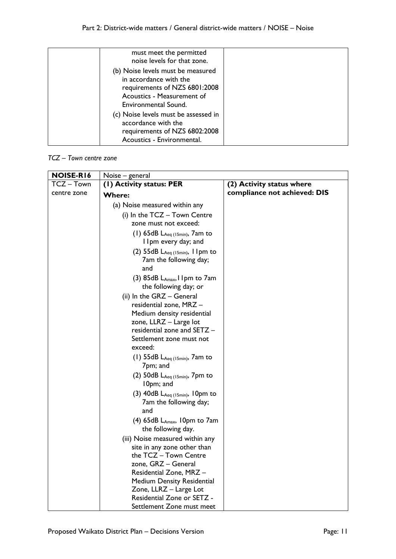| must meet the permitted<br>noise levels for that zone.                                                                                             |  |
|----------------------------------------------------------------------------------------------------------------------------------------------------|--|
| (b) Noise levels must be measured<br>in accordance with the<br>requirements of NZS 6801:2008<br>Acoustics - Measurement of<br>Environmental Sound. |  |
| (c) Noise levels must be assessed in<br>accordance with the<br>requirements of NZS 6802:2008<br>Acoustics - Environmental.                         |  |

#### *TCZ – Town centre zone*

| NOISE-RI6   | Noise - general                                                  |                              |
|-------------|------------------------------------------------------------------|------------------------------|
| TCZ-Town    | (I) Activity status: PER                                         | (2) Activity status where    |
| centre zone | <b>Where:</b>                                                    | compliance not achieved: DIS |
|             | (a) Noise measured within any                                    |                              |
|             | (i) In the TCZ - Town Centre                                     |                              |
|             | zone must not exceed:                                            |                              |
|             | $(1)$ 65dB L <sub>Aeq (15min)</sub> , 7am to                     |                              |
|             | I Ipm every day; and                                             |                              |
|             | (2) $55dB$ L <sub>Aeq (15min)</sub> , 11pm to                    |                              |
|             | 7am the following day;                                           |                              |
|             | and                                                              |                              |
|             | $(3)$ 85dB L <sub>Amax</sub> , I Ipm to 7am                      |                              |
|             | the following day; or                                            |                              |
|             | (ii) In the GRZ - General                                        |                              |
|             | residential zone, MRZ -                                          |                              |
|             | Medium density residential                                       |                              |
|             | zone, LLRZ - Large lot                                           |                              |
|             | residential zone and SETZ -<br>Settlement zone must not          |                              |
|             | exceed:                                                          |                              |
|             | (1) $55dB$ $L_{Aeq (15min)}$ , 7am to                            |                              |
|             | 7pm; and                                                         |                              |
|             | (2) 50dB LAeq (15min), 7pm to                                    |                              |
|             | 10pm; and                                                        |                              |
|             | (3) $40dB$ $L_{Aeq}$ (15min), 10pm to                            |                              |
|             | 7am the following day;                                           |                              |
|             | and                                                              |                              |
|             | $(4)$ 65dB L <sub>Amax</sub> , 10pm to 7am<br>the following day. |                              |
|             | (iii) Noise measured within any                                  |                              |
|             | site in any zone other than                                      |                              |
|             | the TCZ - Town Centre                                            |                              |
|             | zone, GRZ - General                                              |                              |
|             | Residential Zone, MRZ-                                           |                              |
|             | <b>Medium Density Residential</b>                                |                              |
|             | Zone, LLRZ - Large Lot                                           |                              |
|             | Residential Zone or SETZ -                                       |                              |
|             | Settlement Zone must meet                                        |                              |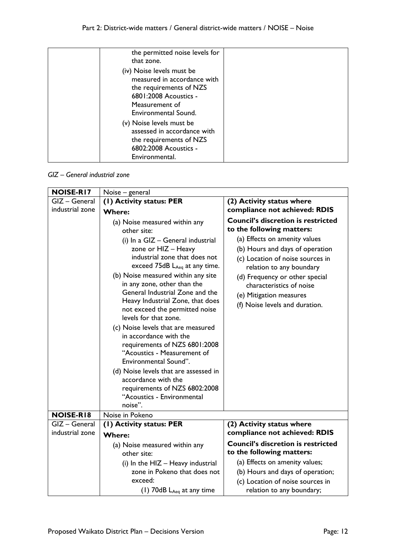| the permitted noise levels for<br>that zone.                                                                                                           |  |
|--------------------------------------------------------------------------------------------------------------------------------------------------------|--|
| (iv) Noise levels must be<br>measured in accordance with<br>the requirements of NZS<br>6801:2008 Acoustics -<br>Measurement of<br>Environmental Sound. |  |
| (v) Noise levels must be<br>assessed in accordance with<br>the requirements of NZS<br>6802:2008 Acoustics -<br>Environmental.                          |  |

#### *GIZ – General industrial zone*

| <b>NOISE-RI7</b> | Noise - general                                                                                                                                                                                                                                                                                                                                                                                                                                                                                                                                                                                                                                       |                                                                                                                                                                                                                                                             |
|------------------|-------------------------------------------------------------------------------------------------------------------------------------------------------------------------------------------------------------------------------------------------------------------------------------------------------------------------------------------------------------------------------------------------------------------------------------------------------------------------------------------------------------------------------------------------------------------------------------------------------------------------------------------------------|-------------------------------------------------------------------------------------------------------------------------------------------------------------------------------------------------------------------------------------------------------------|
| GIZ - General    | (1) Activity status: PER                                                                                                                                                                                                                                                                                                                                                                                                                                                                                                                                                                                                                              | (2) Activity status where                                                                                                                                                                                                                                   |
| industrial zone  | <b>Where:</b>                                                                                                                                                                                                                                                                                                                                                                                                                                                                                                                                                                                                                                         | compliance not achieved: RDIS                                                                                                                                                                                                                               |
|                  | (a) Noise measured within any<br>other site:                                                                                                                                                                                                                                                                                                                                                                                                                                                                                                                                                                                                          | <b>Council's discretion is restricted</b><br>to the following matters:                                                                                                                                                                                      |
|                  | (i) $\ln a$ GIZ – General industrial<br>zone or HIZ - Heavy<br>industrial zone that does not<br>exceed $75dB$ L <sub>Aeq</sub> at any time.<br>(b) Noise measured within any site<br>in any zone, other than the<br>General Industrial Zone and the<br>Heavy Industrial Zone, that does<br>not exceed the permitted noise<br>levels for that zone.<br>(c) Noise levels that are measured<br>in accordance with the<br>requirements of NZS 6801:2008<br>"Acoustics - Measurement of<br>Environmental Sound".<br>(d) Noise levels that are assessed in<br>accordance with the<br>requirements of NZS 6802:2008<br>"Acoustics - Environmental<br>noise". | (a) Effects on amenity values<br>(b) Hours and days of operation<br>(c) Location of noise sources in<br>relation to any boundary<br>(d) Frequency or other special<br>characteristics of noise<br>(e) Mitigation measures<br>(f) Noise levels and duration. |
| <b>NOISE-RI8</b> | Noise in Pokeno                                                                                                                                                                                                                                                                                                                                                                                                                                                                                                                                                                                                                                       |                                                                                                                                                                                                                                                             |
| GIZ - General    | (I) Activity status: PER                                                                                                                                                                                                                                                                                                                                                                                                                                                                                                                                                                                                                              | (2) Activity status where                                                                                                                                                                                                                                   |
| industrial zone  | <b>Where:</b>                                                                                                                                                                                                                                                                                                                                                                                                                                                                                                                                                                                                                                         | compliance not achieved: RDIS                                                                                                                                                                                                                               |
|                  | (a) Noise measured within any<br>other site:                                                                                                                                                                                                                                                                                                                                                                                                                                                                                                                                                                                                          | <b>Council's discretion is restricted</b><br>to the following matters:                                                                                                                                                                                      |
|                  | (i) In the HIZ - Heavy industrial                                                                                                                                                                                                                                                                                                                                                                                                                                                                                                                                                                                                                     | (a) Effects on amenity values;                                                                                                                                                                                                                              |
|                  | zone in Pokeno that does not                                                                                                                                                                                                                                                                                                                                                                                                                                                                                                                                                                                                                          | (b) Hours and days of operation;                                                                                                                                                                                                                            |
|                  | exceed:                                                                                                                                                                                                                                                                                                                                                                                                                                                                                                                                                                                                                                               | (c) Location of noise sources in                                                                                                                                                                                                                            |
|                  | (1) $70$ dB $L_{Aeq}$ at any time                                                                                                                                                                                                                                                                                                                                                                                                                                                                                                                                                                                                                     | relation to any boundary;                                                                                                                                                                                                                                   |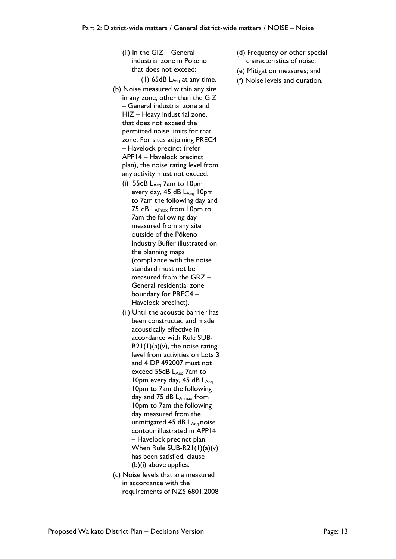| (ii) In the GIZ - General<br>industrial zone in Pokeno       | (d) Frequency or other special<br>characteristics of noise; |
|--------------------------------------------------------------|-------------------------------------------------------------|
| that does not exceed:                                        | (e) Mitigation measures; and                                |
| (1) $65dB$ $L_{Aeq}$ at any time.                            | (f) Noise levels and duration.                              |
| (b) Noise measured within any site                           |                                                             |
| in any zone, other than the GIZ                              |                                                             |
| - General industrial zone and                                |                                                             |
| HIZ - Heavy industrial zone,                                 |                                                             |
| that does not exceed the                                     |                                                             |
| permitted noise limits for that                              |                                                             |
| zone. For sites adjoining PREC4                              |                                                             |
| – Havelock precinct (refer                                   |                                                             |
| APP14 - Havelock precinct                                    |                                                             |
| plan), the noise rating level from                           |                                                             |
| any activity must not exceed:                                |                                                             |
| (i) $55dB LAeq$ 7am to 10pm                                  |                                                             |
| every day, 45 dB LAeq 10pm                                   |                                                             |
| to 7am the following day and                                 |                                                             |
| 75 dB LAFmax from 10pm to                                    |                                                             |
| 7am the following day                                        |                                                             |
| measured from any site                                       |                                                             |
| outside of the Pōkeno                                        |                                                             |
| Industry Buffer illustrated on                               |                                                             |
| the planning maps                                            |                                                             |
| (compliance with the noise<br>standard must not be           |                                                             |
| measured from the GRZ -                                      |                                                             |
| General residential zone                                     |                                                             |
| boundary for PREC4 -                                         |                                                             |
| Havelock precinct).                                          |                                                             |
| (ii) Until the acoustic barrier has                          |                                                             |
| been constructed and made                                    |                                                             |
| acoustically effective in                                    |                                                             |
| accordance with Rule SUB-                                    |                                                             |
| $R21(1)(a)(v)$ , the noise rating                            |                                                             |
| level from activities on Lots 3                              |                                                             |
| and 4 DP 492007 must not                                     |                                                             |
| exceed 55dB $L_{Aeq}$ 7am to                                 |                                                             |
| 10pm every day, 45 dB LAeg                                   |                                                             |
| 10pm to 7am the following                                    |                                                             |
| day and 75 dB $L_{AFmax}$ from                               |                                                             |
| 10pm to 7am the following                                    |                                                             |
| day measured from the                                        |                                                             |
| unmitigated 45 dB LAeq noise                                 |                                                             |
| contour illustrated in APP14                                 |                                                             |
| - Havelock precinct plan.                                    |                                                             |
| When Rule SUB-R21(1)(a)(v)<br>has been satisfied, clause     |                                                             |
| $(b)(i)$ above applies.                                      |                                                             |
|                                                              |                                                             |
| (c) Noise levels that are measured<br>in accordance with the |                                                             |
| requirements of NZS 6801:2008                                |                                                             |
|                                                              |                                                             |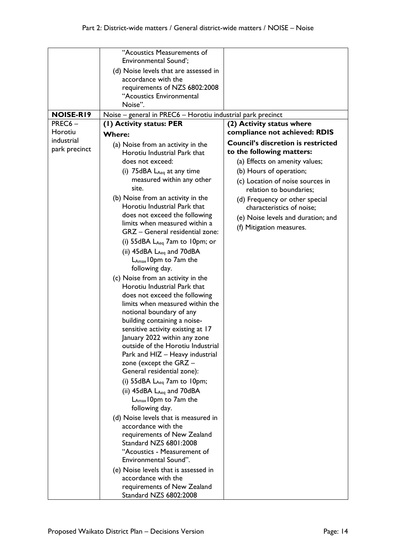|                  | "Acoustics Measurements of<br>Environmental Sound';<br>(d) Noise levels that are assessed in |                                                             |
|------------------|----------------------------------------------------------------------------------------------|-------------------------------------------------------------|
|                  | accordance with the<br>requirements of NZS 6802:2008                                         |                                                             |
|                  | "Acoustics Environmental<br>Noise".                                                          |                                                             |
| <b>NOISE-RI9</b> | Noise – general in PREC6 – Horotiu industrial park precinct                                  |                                                             |
| PREC6-           | (1) Activity status: PER                                                                     | (2) Activity status where                                   |
| Horotiu          | <b>Where:</b>                                                                                | compliance not achieved: RDIS                               |
| industrial       | (a) Noise from an activity in the                                                            | <b>Council's discretion is restricted</b>                   |
| park precinct    | Horotiu Industrial Park that                                                                 | to the following matters:                                   |
|                  | does not exceed:                                                                             | (a) Effects on amenity values;                              |
|                  | (i) $75\text{dBA}$ $L_{\text{Aeq}}$ at any time                                              | (b) Hours of operation;                                     |
|                  | measured within any other<br>site.                                                           | (c) Location of noise sources in<br>relation to boundaries; |
|                  | (b) Noise from an activity in the<br>Horotiu Industrial Park that                            | (d) Frequency or other special<br>characteristics of noise; |
|                  | does not exceed the following<br>limits when measured within a                               | (e) Noise levels and duration; and                          |
|                  | GRZ - General residential zone:                                                              | (f) Mitigation measures.                                    |
|                  | (i) $55dBA$ $L_{Aeq}$ 7am to 10pm; or                                                        |                                                             |
|                  | (ii) $45$ dBA $L_{Aeq}$ and $70$ dBA                                                         |                                                             |
|                  | L <sub>Amax</sub> 10pm to 7am the                                                            |                                                             |
|                  | following day.                                                                               |                                                             |
|                  | (c) Noise from an activity in the                                                            |                                                             |
|                  | Horotiu Industrial Park that<br>does not exceed the following                                |                                                             |
|                  | limits when measured within the                                                              |                                                             |
|                  | notional boundary of any                                                                     |                                                             |
|                  | building containing a noise-                                                                 |                                                             |
|                  | sensitive activity existing at 17                                                            |                                                             |
|                  | January 2022 within any zone                                                                 |                                                             |
|                  | outside of the Horotiu Industrial                                                            |                                                             |
|                  | Park and HIZ - Heavy industrial                                                              |                                                             |
|                  | zone (except the $GRZ -$<br>General residential zone):                                       |                                                             |
|                  | (i) $55dBA$ $L_{Aeq}$ 7am to 10pm;                                                           |                                                             |
|                  | (ii) 45dBA LAeq and 70dBA                                                                    |                                                             |
|                  | LAmax 10pm to 7am the                                                                        |                                                             |
|                  | following day.                                                                               |                                                             |
|                  | (d) Noise levels that is measured in                                                         |                                                             |
|                  | accordance with the                                                                          |                                                             |
|                  | requirements of New Zealand                                                                  |                                                             |
|                  | Standard NZS 6801:2008                                                                       |                                                             |
|                  | "Acoustics - Measurement of                                                                  |                                                             |
|                  | Environmental Sound".                                                                        |                                                             |
|                  | (e) Noise levels that is assessed in<br>accordance with the                                  |                                                             |
|                  | requirements of New Zealand                                                                  |                                                             |
|                  | Standard NZS 6802:2008                                                                       |                                                             |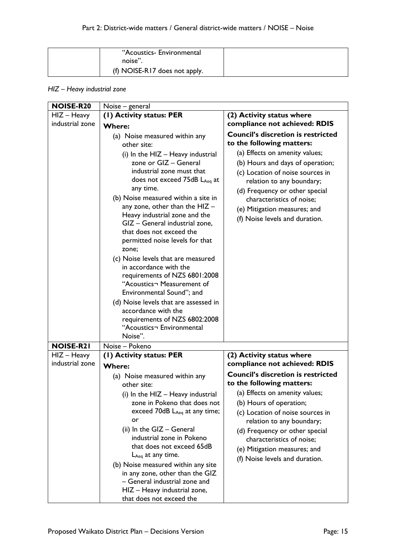| "Acoustics- Environmental<br>noise". |  |
|--------------------------------------|--|
| (f) NOISE-R17 does not apply.        |  |

## *HIZ – Heavy industrial zone*

| <b>NOISE-R20</b> | Noise - general                                                                                                                                                                                                                                                                                                                                                                                                                                                                  |                                                                                                                                                                                                                                                                              |
|------------------|----------------------------------------------------------------------------------------------------------------------------------------------------------------------------------------------------------------------------------------------------------------------------------------------------------------------------------------------------------------------------------------------------------------------------------------------------------------------------------|------------------------------------------------------------------------------------------------------------------------------------------------------------------------------------------------------------------------------------------------------------------------------|
| $HIZ - Heavy$    | (1) Activity status: PER                                                                                                                                                                                                                                                                                                                                                                                                                                                         | (2) Activity status where                                                                                                                                                                                                                                                    |
| industrial zone  | <b>Where:</b>                                                                                                                                                                                                                                                                                                                                                                                                                                                                    | compliance not achieved: RDIS                                                                                                                                                                                                                                                |
|                  | (a) Noise measured within any<br>other site:<br>(i) In the $HIZ - Heavy$ industrial<br>zone or GIZ - General<br>industrial zone must that<br>does not exceed 75dB LAeq at<br>any time.<br>(b) Noise measured within a site in                                                                                                                                                                                                                                                    | <b>Council's discretion is restricted</b><br>to the following matters:<br>(a) Effects on amenity values;<br>(b) Hours and days of operation;<br>(c) Location of noise sources in<br>relation to any boundary;<br>(d) Frequency or other special<br>characteristics of noise; |
|                  | any zone, other than the $HIZ -$<br>Heavy industrial zone and the<br>GIZ - General industrial zone,<br>that does not exceed the<br>permitted noise levels for that<br>zone;<br>(c) Noise levels that are measured<br>in accordance with the<br>requirements of NZS 6801:2008<br>"Acoustics¬ Measurement of<br>Environmental Sound"; and<br>(d) Noise levels that are assessed in<br>accordance with the<br>requirements of NZS 6802:2008<br>"Acoustics¬ Environmental<br>Noise". | (e) Mitigation measures; and<br>(f) Noise levels and duration.                                                                                                                                                                                                               |
| <b>NOISE-R21</b> | Noise - Pokeno                                                                                                                                                                                                                                                                                                                                                                                                                                                                   |                                                                                                                                                                                                                                                                              |
| $HIZ - Heavy$    | (I) Activity status: PER                                                                                                                                                                                                                                                                                                                                                                                                                                                         | (2) Activity status where                                                                                                                                                                                                                                                    |
| industrial zone  | <b>Where:</b>                                                                                                                                                                                                                                                                                                                                                                                                                                                                    | compliance not achieved: RDIS                                                                                                                                                                                                                                                |
|                  | (a) Noise measured within any<br>other site:                                                                                                                                                                                                                                                                                                                                                                                                                                     | <b>Council's discretion is restricted</b><br>to the following matters:                                                                                                                                                                                                       |
|                  | (i) In the HIZ - Heavy industrial                                                                                                                                                                                                                                                                                                                                                                                                                                                | (a) Effects on amenity values;                                                                                                                                                                                                                                               |
|                  | zone in Pokeno that does not                                                                                                                                                                                                                                                                                                                                                                                                                                                     | (b) Hours of operation;                                                                                                                                                                                                                                                      |
|                  | exceed $70dB$ $L_{Aeq}$ at any time;<br>or                                                                                                                                                                                                                                                                                                                                                                                                                                       | (c) Location of noise sources in<br>relation to any boundary;                                                                                                                                                                                                                |
|                  | (ii) In the GIZ - General<br>industrial zone in Pokeno<br>that does not exceed 65dB<br>$L_{Aeq}$ at any time.                                                                                                                                                                                                                                                                                                                                                                    | (d) Frequency or other special<br>characteristics of noise;<br>(e) Mitigation measures; and<br>(f) Noise levels and duration.                                                                                                                                                |
|                  | (b) Noise measured within any site<br>in any zone, other than the GIZ<br>- General industrial zone and<br>HIZ - Heavy industrial zone,<br>that does not exceed the                                                                                                                                                                                                                                                                                                               |                                                                                                                                                                                                                                                                              |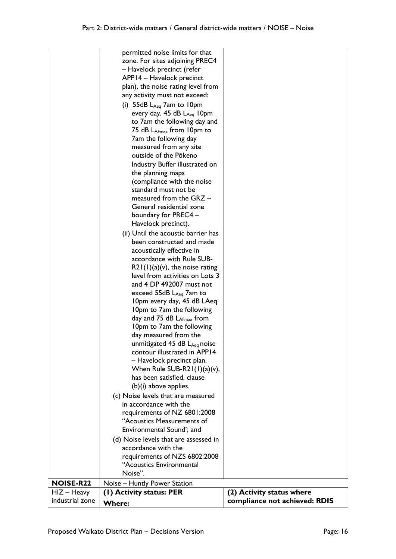|                  | permitted noise limits for that         |                               |
|------------------|-----------------------------------------|-------------------------------|
|                  | zone. For sites adjoining PREC4         |                               |
|                  | - Havelock precinct (refer              |                               |
|                  | APP14 - Havelock precinct               |                               |
|                  | plan), the noise rating level from      |                               |
|                  | any activity must not exceed:           |                               |
|                  | (i) $55dB$ L <sub>Aeq</sub> 7am to 10pm |                               |
|                  | every day, 45 dB LAeq 10pm              |                               |
|                  | to 7am the following day and            |                               |
|                  | 75 dB $L_{AFmax}$ from 10pm to          |                               |
|                  | 7am the following day                   |                               |
|                  | measured from any site                  |                               |
|                  | outside of the Pōkeno                   |                               |
|                  | Industry Buffer illustrated on          |                               |
|                  | the planning maps                       |                               |
|                  | (compliance with the noise              |                               |
|                  | standard must not be                    |                               |
|                  | measured from the GRZ -                 |                               |
|                  | General residential zone                |                               |
|                  | boundary for PREC4 -                    |                               |
|                  | Havelock precinct).                     |                               |
|                  | (ii) Until the acoustic barrier has     |                               |
|                  | been constructed and made               |                               |
|                  | acoustically effective in               |                               |
|                  | accordance with Rule SUB-               |                               |
|                  | $R21(1)(a)(v)$ , the noise rating       |                               |
|                  | level from activities on Lots 3         |                               |
|                  | and 4 DP 492007 must not                |                               |
|                  | exceed $55dB$ L <sub>Aeq</sub> 7am to   |                               |
|                  | 10pm every day, 45 dB LAeq              |                               |
|                  | 10pm to 7am the following               |                               |
|                  | day and $75$ dB $L_{AFmax}$ from        |                               |
|                  | 10pm to 7am the following               |                               |
|                  | day measured from the                   |                               |
|                  | unmitigated 45 dB LAeq noise            |                               |
|                  | contour illustrated in APP14            |                               |
|                  | - Havelock precinct plan.               |                               |
|                  | When Rule SUB-R2 $1(1)(a)(v)$ ,         |                               |
|                  | has been satisfied, clause              |                               |
|                  | $(b)(i)$ above applies.                 |                               |
|                  | (c) Noise levels that are measured      |                               |
|                  | in accordance with the                  |                               |
|                  | requirements of NZ 6801:2008            |                               |
|                  | "Acoustics Measurements of              |                               |
|                  | Environmental Sound'; and               |                               |
|                  |                                         |                               |
|                  | (d) Noise levels that are assessed in   |                               |
|                  | accordance with the                     |                               |
|                  | requirements of NZS 6802:2008           |                               |
|                  | "Acoustics Environmental                |                               |
|                  | Noise".                                 |                               |
| <b>NOISE-R22</b> | Noise - Huntly Power Station            |                               |
| $HIZ - Heavy$    | (1) Activity status: PER                | (2) Activity status where     |
| industrial zone  | <b>Where:</b>                           | compliance not achieved: RDIS |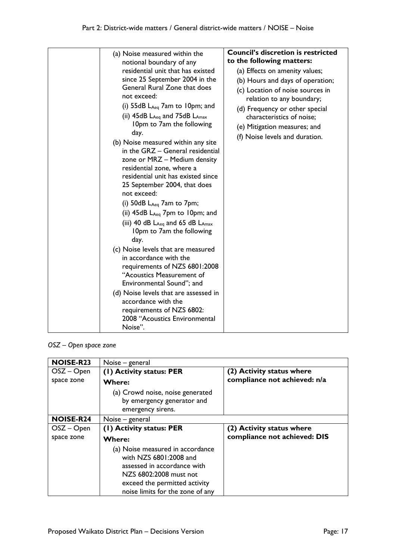| (a) Noise measured within the<br>notional boundary of any<br>residential unit that has existed<br>since 25 September 2004 in the<br>General Rural Zone that does<br>not exceed:<br>(i) 55dB $L_{Aeq}$ 7am to 10pm; and<br>(ii) $45dB$ L <sub>Aeq</sub> and $75dB$ L <sub>Amax</sub><br>10pm to 7am the following<br>day.<br>(b) Noise measured within any site<br>in the GRZ - General residential<br>zone or MRZ - Medium density<br>residential zone, where a<br>residential unit has existed since<br>25 September 2004, that does<br>not exceed:<br>(i) $50dB$ $L_{Aeq}$ 7am to 7pm;<br>(ii) $45dB$ L <sub>Aeq</sub> 7pm to 10pm; and<br>(iii) 40 dB $L_{Aeq}$ and 65 dB $L_{Amax}$<br>10pm to 7am the following<br>day.<br>(c) Noise levels that are measured<br>in accordance with the<br>requirements of NZS 6801:2008<br>"Acoustics Measurement of<br>Environmental Sound"; and<br>(d) Noise levels that are assessed in<br>accordance with the<br>requirements of NZS 6802:<br>2008 "Acoustics Environmental<br>Noise". | <b>Council's discretion is restricted</b><br>to the following matters:<br>(a) Effects on amenity values;<br>(b) Hours and days of operation;<br>(c) Location of noise sources in<br>relation to any boundary;<br>(d) Frequency or other special<br>characteristics of noise;<br>(e) Mitigation measures; and<br>(f) Noise levels and duration. |
|----------------------------------------------------------------------------------------------------------------------------------------------------------------------------------------------------------------------------------------------------------------------------------------------------------------------------------------------------------------------------------------------------------------------------------------------------------------------------------------------------------------------------------------------------------------------------------------------------------------------------------------------------------------------------------------------------------------------------------------------------------------------------------------------------------------------------------------------------------------------------------------------------------------------------------------------------------------------------------------------------------------------------------|------------------------------------------------------------------------------------------------------------------------------------------------------------------------------------------------------------------------------------------------------------------------------------------------------------------------------------------------|

*OSZ – Open space zone*

| <b>NOISE-R23</b> | Noise – general                                                                                                                                                                          |                              |
|------------------|------------------------------------------------------------------------------------------------------------------------------------------------------------------------------------------|------------------------------|
| $OSZ - Open$     | (1) Activity status: PER                                                                                                                                                                 | (2) Activity status where    |
| space zone       | <b>Where:</b>                                                                                                                                                                            | compliance not achieved: n/a |
|                  | (a) Crowd noise, noise generated<br>by emergency generator and<br>emergency sirens.                                                                                                      |                              |
| <b>NOISE-R24</b> | Noise – general                                                                                                                                                                          |                              |
| $OSZ - Open$     | (1) Activity status: PER                                                                                                                                                                 | (2) Activity status where    |
| space zone       | <b>Where:</b>                                                                                                                                                                            | compliance not achieved: DIS |
|                  | (a) Noise measured in accordance<br>with NZS 6801:2008 and<br>assessed in accordance with<br>NZS 6802:2008 must not<br>exceed the permitted activity<br>noise limits for the zone of any |                              |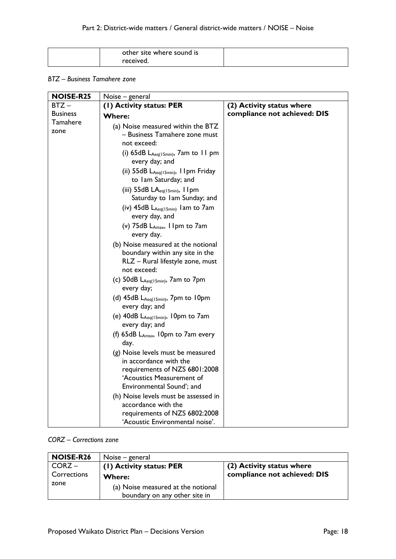| other site where sound is |  |
|---------------------------|--|
| received.                 |  |

#### *BTZ – Business Tamahere zone*

| Noise – general                                                                                                                                                                                                                                                                                                                                                                                                                                                                                                                                                                                                                                                                                                                                                                                                                                                                                                                                                                                                                                                                                           |                              |
|-----------------------------------------------------------------------------------------------------------------------------------------------------------------------------------------------------------------------------------------------------------------------------------------------------------------------------------------------------------------------------------------------------------------------------------------------------------------------------------------------------------------------------------------------------------------------------------------------------------------------------------------------------------------------------------------------------------------------------------------------------------------------------------------------------------------------------------------------------------------------------------------------------------------------------------------------------------------------------------------------------------------------------------------------------------------------------------------------------------|------------------------------|
| (I) Activity status: PER                                                                                                                                                                                                                                                                                                                                                                                                                                                                                                                                                                                                                                                                                                                                                                                                                                                                                                                                                                                                                                                                                  | (2) Activity status where    |
| <b>Where:</b>                                                                                                                                                                                                                                                                                                                                                                                                                                                                                                                                                                                                                                                                                                                                                                                                                                                                                                                                                                                                                                                                                             | compliance not achieved: DIS |
| (a) Noise measured within the BTZ<br>– Business Tamahere zone must<br>not exceed:<br>(i) $65dB$ L <sub>Aeq(15min)</sub> , 7am to 11 pm<br>every day; and<br>(ii) $55dB$ $L_{Aeq(15min)}$ , I Ipm Friday<br>to Iam Saturday; and<br>(iii) $55dB$ LA <sub>eq(15min)</sub> , 11pm<br>Saturday to Iam Sunday; and<br>(iv) $45dB$ L <sub>Aeq(15min)</sub> 1am to 7am<br>every day, and<br>(v) 75dB LAmax, I Ipm to 7am<br>every day.<br>(b) Noise measured at the notional<br>boundary within any site in the<br>RLZ - Rural lifestyle zone, must<br>not exceed:<br>(c) 50dB $L_{Aeq(15min)}$ , 7am to 7pm<br>every day;<br>(d) $45dB$ L <sub>Aeq(15min)</sub> , 7pm to 10pm<br>every day; and<br>(e) $40dB$ L <sub>Aeq(15min)</sub> , 10pm to 7am<br>every day; and<br>(f) 65dB LAmax, 10pm to 7am every<br>day.<br>(g) Noise levels must be measured<br>in accordance with the<br>requirements of NZS 6801:2008<br>'Acoustics Measurement of<br>Environmental Sound'; and<br>(h) Noise levels must be assessed in<br>accordance with the<br>requirements of NZS 6802:2008<br>'Acoustic Environmental noise'. |                              |
|                                                                                                                                                                                                                                                                                                                                                                                                                                                                                                                                                                                                                                                                                                                                                                                                                                                                                                                                                                                                                                                                                                           |                              |

# *CORZ – Corrections zone*

| <b>NOISE-R26</b>    | Noise – general                                                     |                              |
|---------------------|---------------------------------------------------------------------|------------------------------|
| $CORZ -$            | (1) Activity status: PER                                            | (2) Activity status where    |
| Corrections<br>zone | <b>Where:</b>                                                       | compliance not achieved: DIS |
|                     | (a) Noise measured at the notional<br>boundary on any other site in |                              |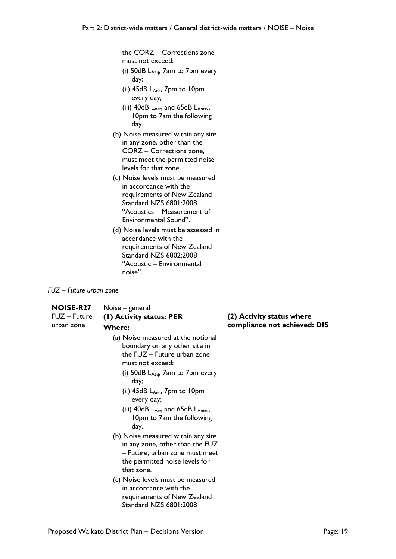| the CORZ - Corrections zone                                    |  |
|----------------------------------------------------------------|--|
| must not exceed:                                               |  |
| (i) $50dB$ $L_{Aeq}$ , $7am$ to $7pm$ every                    |  |
| day;                                                           |  |
| (ii) $45dB$ $L_{Aeq}$ , $7pm$ to $10pm$<br>every day;          |  |
| (iii) 40dB LAeq and 65dB LAmax,                                |  |
| 10pm to 7am the following                                      |  |
| day.                                                           |  |
| (b) Noise measured within any site                             |  |
| in any zone, other than the<br><b>CORZ</b> - Corrections zone, |  |
| must meet the permitted noise                                  |  |
| levels for that zone.                                          |  |
| (c) Noise levels must be measured                              |  |
| in accordance with the                                         |  |
| requirements of New Zealand                                    |  |
| <b>Standard NZS 6801:2008</b>                                  |  |
| "Acoustics – Measurement of<br>Environmental Sound".           |  |
|                                                                |  |
| (d) Noise levels must be assessed in<br>accordance with the    |  |
| requirements of New Zealand                                    |  |
| <b>Standard NZS 6802:2008</b>                                  |  |
| "Acoustic - Environmental                                      |  |
| noise".                                                        |  |

*FUZ – Future urban zone*

| <b>NOISE-R27</b> | Noise – general                                                                                                                                                                                                                                                                                                                            |                              |
|------------------|--------------------------------------------------------------------------------------------------------------------------------------------------------------------------------------------------------------------------------------------------------------------------------------------------------------------------------------------|------------------------------|
| FUZ - Future     | (1) Activity status: PER                                                                                                                                                                                                                                                                                                                   | (2) Activity status where    |
| urban zone       | <b>Where:</b>                                                                                                                                                                                                                                                                                                                              | compliance not achieved: DIS |
|                  | (a) Noise measured at the notional<br>boundary on any other site in<br>the $FUZ - F$ uture urban zone<br>must not exceed:<br>(i) $50dB$ $L_{Aeq}$ , 7am to 7pm every<br>day;<br>(ii) $45dB$ $L_{Aeq}$ , $7pm$ to $10pm$<br>every day;<br>(iii) $40dB$ L <sub>Aeq</sub> and $65dB$ L <sub>Amax</sub> ,<br>10pm to 7am the following<br>day. |                              |
|                  | (b) Noise measured within any site<br>in any zone, other than the FUZ<br>- Future, urban zone must meet<br>the permitted noise levels for<br>that zone.<br>(c) Noise levels must be measured<br>in accordance with the<br>requirements of New Zealand<br>Standard NZS 6801:2008                                                            |                              |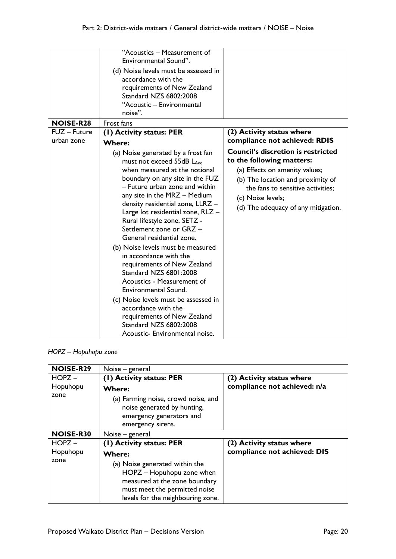|                  | "Acoustics - Measurement of<br>Environmental Sound".                                                                                                                                                                                                                                                                                                                                                                                                                                                                                                                                                                                                                                                            |                                                                                                                                                                                                                                                |
|------------------|-----------------------------------------------------------------------------------------------------------------------------------------------------------------------------------------------------------------------------------------------------------------------------------------------------------------------------------------------------------------------------------------------------------------------------------------------------------------------------------------------------------------------------------------------------------------------------------------------------------------------------------------------------------------------------------------------------------------|------------------------------------------------------------------------------------------------------------------------------------------------------------------------------------------------------------------------------------------------|
|                  | (d) Noise levels must be assessed in<br>accordance with the<br>requirements of New Zealand<br>Standard NZS 6802:2008<br>"Acoustic - Environmental<br>noise".                                                                                                                                                                                                                                                                                                                                                                                                                                                                                                                                                    |                                                                                                                                                                                                                                                |
| <b>NOISE-R28</b> | Frost fans                                                                                                                                                                                                                                                                                                                                                                                                                                                                                                                                                                                                                                                                                                      |                                                                                                                                                                                                                                                |
| FUZ - Future     | (1) Activity status: PER                                                                                                                                                                                                                                                                                                                                                                                                                                                                                                                                                                                                                                                                                        | (2) Activity status where                                                                                                                                                                                                                      |
| urban zone       | <b>Where:</b>                                                                                                                                                                                                                                                                                                                                                                                                                                                                                                                                                                                                                                                                                                   | compliance not achieved: RDIS                                                                                                                                                                                                                  |
|                  | (a) Noise generated by a frost fan<br>must not exceed 55dB LAeg<br>when measured at the notional<br>boundary on any site in the FUZ<br>- Future urban zone and within<br>any site in the MRZ - Medium<br>density residential zone, LLRZ -<br>Large lot residential zone, RLZ -<br>Rural lifestyle zone, SETZ -<br>Settlement zone or GRZ -<br>General residential zone.<br>(b) Noise levels must be measured<br>in accordance with the<br>requirements of New Zealand<br>Standard NZS 6801:2008<br>Acoustics - Measurement of<br>Environmental Sound.<br>(c) Noise levels must be assessed in<br>accordance with the<br>requirements of New Zealand<br>Standard NZS 6802:2008<br>Acoustic- Environmental noise. | <b>Council's discretion is restricted</b><br>to the following matters:<br>(a) Effects on amenity values;<br>(b) The location and proximity of<br>the fans to sensitive activities;<br>(c) Noise levels;<br>(d) The adequacy of any mitigation. |

#### *HOPZ – Hopuhopu zone*

| <b>NOISE-R29</b> | Noise – general                                                                                                                                                                     |                              |
|------------------|-------------------------------------------------------------------------------------------------------------------------------------------------------------------------------------|------------------------------|
| $HOPZ -$         | (1) Activity status: PER                                                                                                                                                            | (2) Activity status where    |
| Hopuhopu         | <b>Where:</b>                                                                                                                                                                       | compliance not achieved: n/a |
| zone             | (a) Farming noise, crowd noise, and<br>noise generated by hunting,<br>emergency generators and<br>emergency sirens.                                                                 |                              |
| <b>NOISE-R30</b> | Noise – general                                                                                                                                                                     |                              |
| $HOPZ -$         | (1) Activity status: PER                                                                                                                                                            | (2) Activity status where    |
| Hopuhopu<br>zone | <b>Where:</b><br>(a) Noise generated within the<br>HOPZ - Hopuhopu zone when<br>measured at the zone boundary<br>must meet the permitted noise<br>levels for the neighbouring zone. | compliance not achieved: DIS |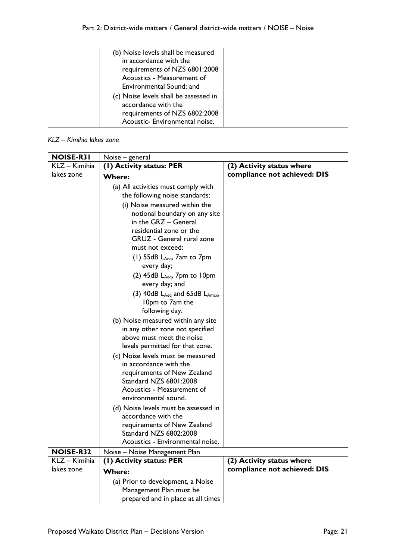| (b) Noise levels shall be measured<br>in accordance with the<br>requirements of NZS 6801:2008<br>Acoustics - Measurement of     |  |
|---------------------------------------------------------------------------------------------------------------------------------|--|
| Environmental Sound; and                                                                                                        |  |
| (c) Noise levels shall be assessed in<br>accordance with the<br>requirements of NZS 6802:2008<br>Acoustic- Environmental noise. |  |

## *KLZ – Kimihia lakes zone*

| <b>NOISE-R31</b> | Noise – general                                              |                              |  |
|------------------|--------------------------------------------------------------|------------------------------|--|
| KLZ - Kimihia    | (1) Activity status: PER                                     | (2) Activity status where    |  |
| lakes zone       | <b>Where:</b>                                                | compliance not achieved: DIS |  |
|                  | (a) All activities must comply with                          |                              |  |
|                  | the following noise standards:                               |                              |  |
|                  | (i) Noise measured within the                                |                              |  |
|                  | notional boundary on any site                                |                              |  |
|                  | in the GRZ - General                                         |                              |  |
|                  | residential zone or the                                      |                              |  |
|                  | GRUZ - General rural zone                                    |                              |  |
|                  | must not exceed:                                             |                              |  |
|                  | (1) $55dB$ $L_{Aeq}$ , $7am$ to $7pm$                        |                              |  |
|                  | every day;                                                   |                              |  |
|                  | $(2)$ 45dB L <sub>Aeq</sub> , 7pm to 10pm<br>every day; and  |                              |  |
|                  | (3) $40dB$ L <sub>Aeq</sub> and $65dB$ L <sub>Amax</sub> ,   |                              |  |
|                  | 10pm to 7am the                                              |                              |  |
|                  | following day.                                               |                              |  |
|                  | (b) Noise measured within any site                           |                              |  |
|                  | in any other zone not specified                              |                              |  |
|                  | above must meet the noise<br>levels permitted for that zone. |                              |  |
|                  | (c) Noise levels must be measured                            |                              |  |
|                  | in accordance with the                                       |                              |  |
|                  | requirements of New Zealand                                  |                              |  |
|                  | Standard NZS 6801:2008                                       |                              |  |
|                  | Acoustics - Measurement of                                   |                              |  |
|                  | environmental sound.                                         |                              |  |
|                  | (d) Noise levels must be assessed in                         |                              |  |
|                  | accordance with the                                          |                              |  |
|                  | requirements of New Zealand                                  |                              |  |
|                  | Standard NZS 6802:2008<br>Acoustics - Environmental noise.   |                              |  |
| <b>NOISE-R32</b> | Noise - Noise Management Plan                                |                              |  |
| KLZ - Kimihia    | (I) Activity status: PER                                     | (2) Activity status where    |  |
| lakes zone       | <b>Where:</b>                                                | compliance not achieved: DIS |  |
|                  |                                                              |                              |  |
|                  | (a) Prior to development, a Noise<br>Management Plan must be |                              |  |
|                  | prepared and in place at all times                           |                              |  |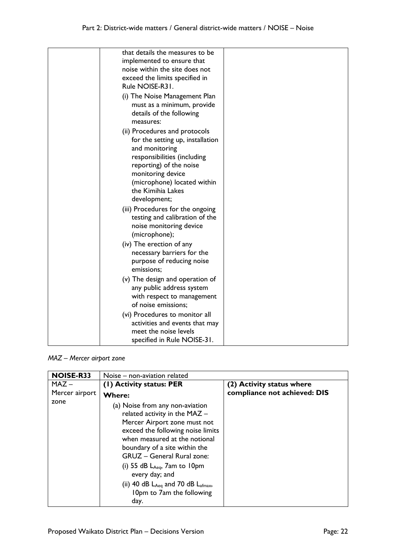| that details the measures to be<br>implemented to ensure that<br>noise within the site does not<br>exceed the limits specified in<br>Rule NOISE-R31.                                                                                   |  |
|----------------------------------------------------------------------------------------------------------------------------------------------------------------------------------------------------------------------------------------|--|
| (i) The Noise Management Plan<br>must as a minimum, provide<br>details of the following<br>measures:                                                                                                                                   |  |
| (ii) Procedures and protocols<br>for the setting up, installation<br>and monitoring<br>responsibilities (including<br>reporting) of the noise<br>monitoring device<br>(microphone) located within<br>the Kimihia Lakes<br>development; |  |
| (iii) Procedures for the ongoing<br>testing and calibration of the<br>noise monitoring device<br>(microphone);                                                                                                                         |  |
| (iv) The erection of any<br>necessary barriers for the<br>purpose of reducing noise<br>emissions;                                                                                                                                      |  |
| (v) The design and operation of<br>any public address system<br>with respect to management<br>of noise emissions;                                                                                                                      |  |
| (vi) Procedures to monitor all<br>activities and events that may<br>meet the noise levels<br>specified in Rule NOISE-31.                                                                                                               |  |

#### *MAZ – Mercer airport zone*

| <b>NOISE-R33</b> | Noise – non-aviation related                                                                                                                                                                                                                                                                                                                                                             |                              |  |
|------------------|------------------------------------------------------------------------------------------------------------------------------------------------------------------------------------------------------------------------------------------------------------------------------------------------------------------------------------------------------------------------------------------|------------------------------|--|
| $MAZ -$          | (1) Activity status: PER                                                                                                                                                                                                                                                                                                                                                                 | (2) Activity status where    |  |
| Mercer airport   | <b>Where:</b>                                                                                                                                                                                                                                                                                                                                                                            | compliance not achieved: DIS |  |
| zone             | (a) Noise from any non-aviation<br>related activity in the MAZ -<br>Mercer Airport zone must not<br>exceed the following noise limits<br>when measured at the notional<br>boundary of a site within the<br><b>GRUZ</b> - General Rural zone:<br>(i) 55 dB $L_{Aeq}$ , 7am to 10pm<br>every day; and<br>(ii) 40 dB $L_{Aeq}$ and 70 dB $L_{afmax}$ ,<br>10pm to 7am the following<br>day. |                              |  |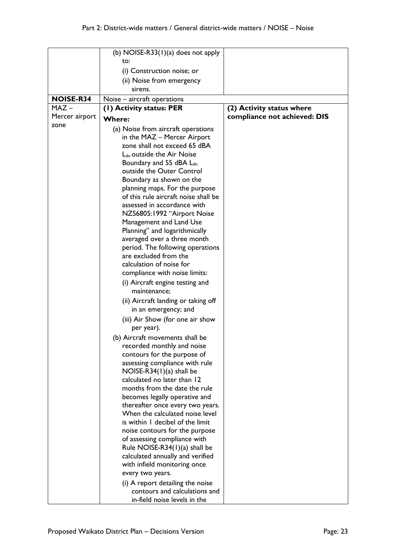|                             | (b) NOISE-R33 $(1)(a)$ does not apply                                  |                              |
|-----------------------------|------------------------------------------------------------------------|------------------------------|
|                             | to:                                                                    |                              |
|                             | (i) Construction noise; or                                             |                              |
|                             | (ii) Noise from emergency                                              |                              |
|                             | sirens.                                                                |                              |
|                             |                                                                        |                              |
| <b>NOISE-R34</b><br>$MAZ -$ | Noise - aircraft operations                                            |                              |
|                             | (1) Activity status: PER                                               | (2) Activity status where    |
| Mercer airport<br>zone      | <b>Where:</b>                                                          | compliance not achieved: DIS |
|                             | (a) Noise from aircraft operations                                     |                              |
|                             | in the MAZ - Mercer Airport                                            |                              |
|                             | zone shall not exceed 65 dBA                                           |                              |
|                             | L <sub>dn</sub> outside the Air Noise                                  |                              |
|                             | Boundary and 55 dBA L <sub>dn</sub>                                    |                              |
|                             | outside the Outer Control                                              |                              |
|                             | Boundary as shown on the                                               |                              |
|                             | planning maps. For the purpose<br>of this rule aircraft noise shall be |                              |
|                             | assessed in accordance with                                            |                              |
|                             | NZS6805:1992 "Airport Noise                                            |                              |
|                             | Management and Land Use                                                |                              |
|                             | Planning" and logarithmically                                          |                              |
|                             | averaged over a three month                                            |                              |
|                             | period. The following operations                                       |                              |
|                             | are excluded from the                                                  |                              |
|                             | calculation of noise for                                               |                              |
|                             | compliance with noise limits:                                          |                              |
|                             | (i) Aircraft engine testing and                                        |                              |
|                             | maintenance;                                                           |                              |
|                             | (ii) Aircraft landing or taking off                                    |                              |
|                             | in an emergency; and                                                   |                              |
|                             | (iii) Air Show (for one air show                                       |                              |
|                             | per year).                                                             |                              |
|                             | (b) Aircraft movements shall be                                        |                              |
|                             | recorded monthly and noise                                             |                              |
|                             | contours for the purpose of                                            |                              |
|                             | assessing compliance with rule                                         |                              |
|                             | NOISE-R34 $(1)(a)$ shall be                                            |                              |
|                             | calculated no later than 12<br>months from the date the rule           |                              |
|                             | becomes legally operative and                                          |                              |
|                             | thereafter once every two years.                                       |                              |
|                             | When the calculated noise level                                        |                              |
|                             | is within I decibel of the limit                                       |                              |
|                             | noise contours for the purpose                                         |                              |
|                             | of assessing compliance with                                           |                              |
|                             | Rule NOISE-R34 $(1)(a)$ shall be                                       |                              |
|                             | calculated annually and verified                                       |                              |
|                             | with infield monitoring once                                           |                              |
|                             | every two years.                                                       |                              |
|                             | (i) A report detailing the noise                                       |                              |
|                             | contours and calculations and                                          |                              |
|                             | in-field noise levels in the                                           |                              |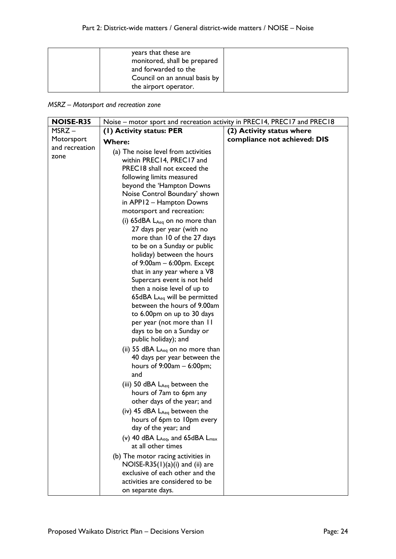| years that these are<br>monitored, shall be prepared<br>and forwarded to the<br>Council on an annual basis by |  |
|---------------------------------------------------------------------------------------------------------------|--|
| the airport operator.                                                                                         |  |

*MSRZ – Motorsport and recreation zone*

| <b>NOISE-R35</b> | Noise – motor sport and recreation activity in PREC14, PREC17 and PREC18 |                              |  |
|------------------|--------------------------------------------------------------------------|------------------------------|--|
| $MSRZ -$         | (1) Activity status: PER                                                 | (2) Activity status where    |  |
| Motorsport       | <b>Where:</b>                                                            | compliance not achieved: DIS |  |
| and recreation   | (a) The noise level from activities                                      |                              |  |
| zone             | within PREC14, PREC17 and                                                |                              |  |
|                  | PREC18 shall not exceed the                                              |                              |  |
|                  | following limits measured                                                |                              |  |
|                  | beyond the 'Hampton Downs                                                |                              |  |
|                  | Noise Control Boundary' shown                                            |                              |  |
|                  | in APP12 - Hampton Downs                                                 |                              |  |
|                  | motorsport and recreation:                                               |                              |  |
|                  | (i) 65dBA $L_{Aeq}$ on no more than                                      |                              |  |
|                  | 27 days per year (with no                                                |                              |  |
|                  | more than 10 of the 27 days                                              |                              |  |
|                  | to be on a Sunday or public                                              |                              |  |
|                  | holiday) between the hours                                               |                              |  |
|                  | of 9:00am - 6:00pm. Except                                               |                              |  |
|                  | that in any year where a V8                                              |                              |  |
|                  | Supercars event is not held                                              |                              |  |
|                  | then a noise level of up to                                              |                              |  |
|                  | 65dBA LAeq will be permitted<br>between the hours of 9.00am              |                              |  |
|                  | to 6.00pm on up to 30 days                                               |                              |  |
|                  | per year (not more than II                                               |                              |  |
|                  | days to be on a Sunday or                                                |                              |  |
|                  | public holiday); and                                                     |                              |  |
|                  | (ii) 55 dBA $L_{Aeq}$ on no more than                                    |                              |  |
|                  | 40 days per year between the                                             |                              |  |
|                  | hours of $9:00am - 6:00pm;$                                              |                              |  |
|                  | and                                                                      |                              |  |
|                  | (iii) 50 dBA $L_{Aeq}$ between the                                       |                              |  |
|                  | hours of 7am to 6pm any                                                  |                              |  |
|                  | other days of the year; and                                              |                              |  |
|                  | (iv) 45 dBA $L_{Aea}$ between the                                        |                              |  |
|                  | hours of 6pm to 10pm every                                               |                              |  |
|                  | day of the year; and                                                     |                              |  |
|                  | (v) 40 dBA $L_{Aeq}$ , and 65dBA $L_{max}$                               |                              |  |
|                  | at all other times                                                       |                              |  |
|                  | (b) The motor racing activities in                                       |                              |  |
|                  | $NOISE-R35(1)(a)(i)$ and (ii) are                                        |                              |  |
|                  | exclusive of each other and the                                          |                              |  |
|                  | activities are considered to be                                          |                              |  |
|                  | on separate days.                                                        |                              |  |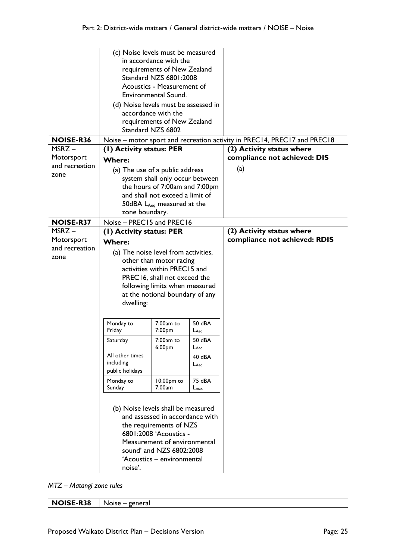|                                       | (c) Noise levels must be measured<br>in accordance with the<br>requirements of New Zealand<br>Standard NZS 6801:2008<br>Acoustics - Measurement of<br>Environmental Sound.<br>(d) Noise levels must be assessed in<br>accordance with the                      |                                                                                                                                                                                |                            |                                                                                                       |
|---------------------------------------|----------------------------------------------------------------------------------------------------------------------------------------------------------------------------------------------------------------------------------------------------------------|--------------------------------------------------------------------------------------------------------------------------------------------------------------------------------|----------------------------|-------------------------------------------------------------------------------------------------------|
|                                       | requirements of New Zealand                                                                                                                                                                                                                                    |                                                                                                                                                                                |                            |                                                                                                       |
|                                       |                                                                                                                                                                                                                                                                | Standard NZS 6802                                                                                                                                                              |                            |                                                                                                       |
| <b>NOISE-R36</b><br>MSRZ-             | (I) Activity status: PER                                                                                                                                                                                                                                       |                                                                                                                                                                                |                            | Noise – motor sport and recreation activity in PREC14, PREC17 and PREC18<br>(2) Activity status where |
| Motorsport                            | <b>Where:</b>                                                                                                                                                                                                                                                  |                                                                                                                                                                                |                            | compliance not achieved: DIS                                                                          |
| and recreation                        | (a) The use of a public address                                                                                                                                                                                                                                |                                                                                                                                                                                |                            | (a)                                                                                                   |
| zone                                  |                                                                                                                                                                                                                                                                | system shall only occur between                                                                                                                                                |                            |                                                                                                       |
|                                       |                                                                                                                                                                                                                                                                | the hours of 7:00am and 7:00pm                                                                                                                                                 |                            |                                                                                                       |
|                                       |                                                                                                                                                                                                                                                                | and shall not exceed a limit of<br>50dBA $L_{Aeq}$ measured at the                                                                                                             |                            |                                                                                                       |
|                                       | zone boundary.                                                                                                                                                                                                                                                 |                                                                                                                                                                                |                            |                                                                                                       |
| <b>NOISE-R37</b>                      | Noise - PREC15 and PREC16                                                                                                                                                                                                                                      |                                                                                                                                                                                |                            |                                                                                                       |
| MSRZ-<br>Motorsport<br>and recreation | (1) Activity status: PER<br><b>Where:</b><br>(a) The noise level from activities,<br>other than motor racing<br>activities within PREC15 and<br>PREC16, shall not exceed the<br>following limits when measured<br>at the notional boundary of any<br>dwelling: |                                                                                                                                                                                |                            | (2) Activity status where<br>compliance not achieved: RDIS                                            |
| zone                                  |                                                                                                                                                                                                                                                                |                                                                                                                                                                                |                            |                                                                                                       |
|                                       | Monday to<br>Friday                                                                                                                                                                                                                                            | $7:00am$ to<br>7:00pm                                                                                                                                                          | 50 dBA<br>$L_{Aeq}$        |                                                                                                       |
|                                       | Saturday                                                                                                                                                                                                                                                       | 7:00am to<br>6:00pm                                                                                                                                                            | 50 dBA<br>$L$ Aeq          |                                                                                                       |
|                                       | All other times<br>including<br>public holidays                                                                                                                                                                                                                |                                                                                                                                                                                | 40 dBA<br>$L$ Aeq          |                                                                                                       |
|                                       | Monday to<br>Sunday                                                                                                                                                                                                                                            | 10:00pm to<br>7:00am                                                                                                                                                           | 75 dBA<br>$L_{\text{max}}$ |                                                                                                       |
|                                       | (b) Noise levels shall be measured<br>noise'.                                                                                                                                                                                                                  | and assessed in accordance with<br>the requirements of NZS<br>6801:2008 'Acoustics -<br>Measurement of environmental<br>sound' and NZS 6802:2008<br>'Acoustics - environmental |                            |                                                                                                       |

*MTZ – Matangi zone rules*

**NOISE-R38** Noise – general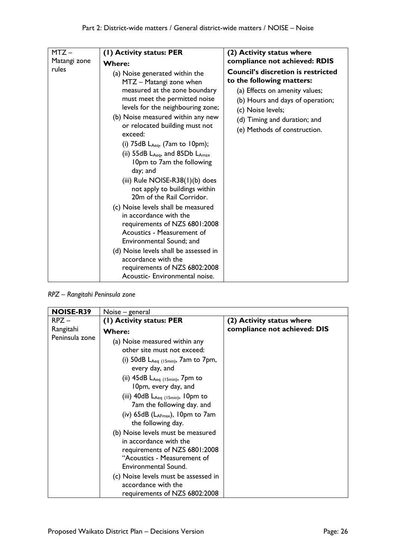| $MTZ -$      | (1) Activity status: PER                                                                                                                                                                                                                                                                                                                                                                                                                                                                                                                                                                                                                                                                                                                                                                       | (2) Activity status where                                                                                                                                                                                                         |
|--------------|------------------------------------------------------------------------------------------------------------------------------------------------------------------------------------------------------------------------------------------------------------------------------------------------------------------------------------------------------------------------------------------------------------------------------------------------------------------------------------------------------------------------------------------------------------------------------------------------------------------------------------------------------------------------------------------------------------------------------------------------------------------------------------------------|-----------------------------------------------------------------------------------------------------------------------------------------------------------------------------------------------------------------------------------|
| Matangi zone | <b>Where:</b>                                                                                                                                                                                                                                                                                                                                                                                                                                                                                                                                                                                                                                                                                                                                                                                  | compliance not achieved: RDIS                                                                                                                                                                                                     |
| rules        | (a) Noise generated within the<br>MTZ - Matangi zone when<br>measured at the zone boundary<br>must meet the permitted noise<br>levels for the neighbouring zone;<br>(b) Noise measured within any new<br>or relocated building must not<br>exceed:<br>(i) $75dB$ L <sub>Aeq</sub> , $(7am$ to $10pm)$ ;<br>(ii) 55dB $L_{Aeq}$ , and 85Db $L_{Amax}$<br>10pm to 7am the following<br>day; and<br>(iii) Rule $NOISE-R38(1)(b)$ does<br>not apply to buildings within<br>20m of the Rail Corridor.<br>(c) Noise levels shall be measured<br>in accordance with the<br>requirements of NZS 6801:2008<br>Acoustics - Measurement of<br>Environmental Sound; and<br>(d) Noise levels shall be assessed in<br>accordance with the<br>requirements of NZS 6802:2008<br>Acoustic- Environmental noise. | <b>Council's discretion is restricted</b><br>to the following matters:<br>(a) Effects on amenity values;<br>(b) Hours and days of operation;<br>(c) Noise levels;<br>(d) Timing and duration; and<br>(e) Methods of construction. |

*RPZ – Rangitahi Peninsula zone*

| <b>NOISE-R39</b> | Noise – general                                                                                                                                     |                              |  |
|------------------|-----------------------------------------------------------------------------------------------------------------------------------------------------|------------------------------|--|
| $RPZ -$          | (1) Activity status: PER                                                                                                                            | (2) Activity status where    |  |
| Rangitahi        | <b>Where:</b>                                                                                                                                       | compliance not achieved: DIS |  |
| Peninsula zone   | (a) Noise measured within any<br>other site must not exceed:                                                                                        |                              |  |
|                  | (i) 50dB $L_{Aeq}$ (15min), 7am to 7pm,<br>every day, and                                                                                           |                              |  |
|                  | (ii) $45dB$ L <sub>Aeq (15min)</sub> , 7pm to<br>10pm, every day, and                                                                               |                              |  |
|                  | (iii) $40dB$ $L_{Aeq}$ (15min), 10pm to<br>7am the following day. and                                                                               |                              |  |
|                  | (iv) $65dB$ ( $L_{AFmax}$ ), 10pm to 7am<br>the following day.                                                                                      |                              |  |
|                  | (b) Noise levels must be measured<br>in accordance with the<br>requirements of NZS 6801:2008<br>"Acoustics - Measurement of<br>Environmental Sound. |                              |  |
|                  | (c) Noise levels must be assessed in<br>accordance with the<br>requirements of NZS 6802:2008                                                        |                              |  |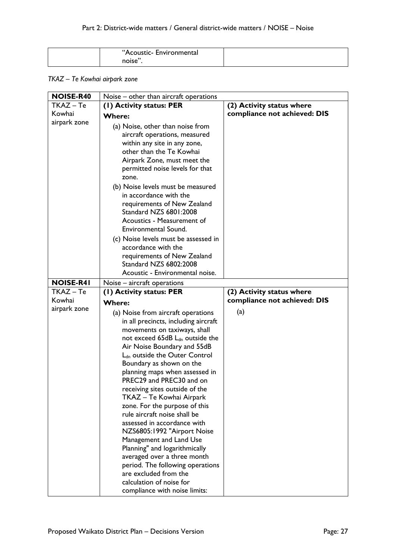| "Acoustic- Environmental |  |
|--------------------------|--|
| noise"                   |  |

## *TKAZ – Te Kowhai airpark zone*

| <b>NOISE-R40</b> | Noise – other than aircraft operations                                                                                                                                                                                                                                                                                                                                                                                                                                                                                                            |                              |  |  |
|------------------|---------------------------------------------------------------------------------------------------------------------------------------------------------------------------------------------------------------------------------------------------------------------------------------------------------------------------------------------------------------------------------------------------------------------------------------------------------------------------------------------------------------------------------------------------|------------------------------|--|--|
| $TKAZ - Te$      | (I) Activity status: PER                                                                                                                                                                                                                                                                                                                                                                                                                                                                                                                          | (2) Activity status where    |  |  |
| Kowhai           | <b>Where:</b>                                                                                                                                                                                                                                                                                                                                                                                                                                                                                                                                     | compliance not achieved: DIS |  |  |
| airpark zone     | (a) Noise, other than noise from<br>aircraft operations, measured<br>within any site in any zone,<br>other than the Te Kowhai<br>Airpark Zone, must meet the<br>permitted noise levels for that<br>zone.<br>(b) Noise levels must be measured<br>in accordance with the<br>requirements of New Zealand<br>Standard NZS 6801:2008<br>Acoustics - Measurement of<br>Environmental Sound.<br>(c) Noise levels must be assessed in<br>accordance with the<br>requirements of New Zealand<br>Standard NZS 6802:2008<br>Acoustic - Environmental noise. |                              |  |  |
| <b>NOISE-R41</b> |                                                                                                                                                                                                                                                                                                                                                                                                                                                                                                                                                   |                              |  |  |
| TKAZ - Te        | Noise – aircraft operations<br>(I) Activity status: PER                                                                                                                                                                                                                                                                                                                                                                                                                                                                                           | (2) Activity status where    |  |  |
| Kowhai           |                                                                                                                                                                                                                                                                                                                                                                                                                                                                                                                                                   | compliance not achieved: DIS |  |  |
| airpark zone     | <b>Where:</b>                                                                                                                                                                                                                                                                                                                                                                                                                                                                                                                                     |                              |  |  |
|                  | (a) Noise from aircraft operations                                                                                                                                                                                                                                                                                                                                                                                                                                                                                                                | (a)                          |  |  |
|                  | in all precincts, including aircraft                                                                                                                                                                                                                                                                                                                                                                                                                                                                                                              |                              |  |  |
|                  | movements on taxiways, shall                                                                                                                                                                                                                                                                                                                                                                                                                                                                                                                      |                              |  |  |
|                  | not exceed 65dB L <sub>dn</sub> outside the                                                                                                                                                                                                                                                                                                                                                                                                                                                                                                       |                              |  |  |
|                  | Air Noise Boundary and 55dB                                                                                                                                                                                                                                                                                                                                                                                                                                                                                                                       |                              |  |  |
|                  | L <sub>dn</sub> outside the Outer Control                                                                                                                                                                                                                                                                                                                                                                                                                                                                                                         |                              |  |  |
|                  | Boundary as shown on the                                                                                                                                                                                                                                                                                                                                                                                                                                                                                                                          |                              |  |  |
|                  | planning maps when assessed in<br>PREC29 and PREC30 and on                                                                                                                                                                                                                                                                                                                                                                                                                                                                                        |                              |  |  |
|                  | receiving sites outside of the                                                                                                                                                                                                                                                                                                                                                                                                                                                                                                                    |                              |  |  |
|                  | TKAZ - Te Kowhai Airpark                                                                                                                                                                                                                                                                                                                                                                                                                                                                                                                          |                              |  |  |
|                  | zone. For the purpose of this                                                                                                                                                                                                                                                                                                                                                                                                                                                                                                                     |                              |  |  |
|                  | rule aircraft noise shall be                                                                                                                                                                                                                                                                                                                                                                                                                                                                                                                      |                              |  |  |
|                  | assessed in accordance with                                                                                                                                                                                                                                                                                                                                                                                                                                                                                                                       |                              |  |  |
|                  | NZS6805:1992 "Airport Noise                                                                                                                                                                                                                                                                                                                                                                                                                                                                                                                       |                              |  |  |
|                  | Management and Land Use                                                                                                                                                                                                                                                                                                                                                                                                                                                                                                                           |                              |  |  |
|                  | Planning" and logarithmically                                                                                                                                                                                                                                                                                                                                                                                                                                                                                                                     |                              |  |  |
|                  | averaged over a three month                                                                                                                                                                                                                                                                                                                                                                                                                                                                                                                       |                              |  |  |
|                  | period. The following operations                                                                                                                                                                                                                                                                                                                                                                                                                                                                                                                  |                              |  |  |
|                  | are excluded from the                                                                                                                                                                                                                                                                                                                                                                                                                                                                                                                             |                              |  |  |
|                  | calculation of noise for                                                                                                                                                                                                                                                                                                                                                                                                                                                                                                                          |                              |  |  |
|                  | compliance with noise limits:                                                                                                                                                                                                                                                                                                                                                                                                                                                                                                                     |                              |  |  |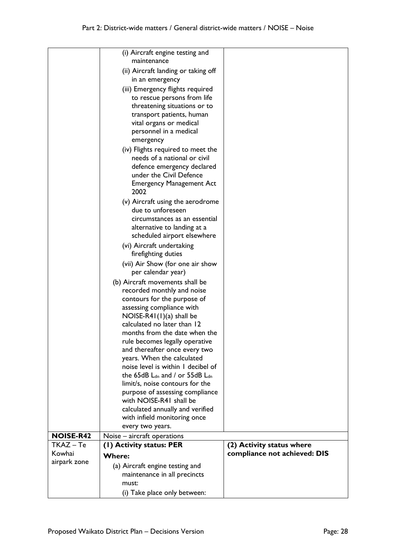|                  | (i) Aircraft engine testing and<br>maintenance                     |                              |
|------------------|--------------------------------------------------------------------|------------------------------|
|                  | (ii) Aircraft landing or taking off                                |                              |
|                  | in an emergency                                                    |                              |
|                  | (iii) Emergency flights required<br>to rescue persons from life    |                              |
|                  | threatening situations or to                                       |                              |
|                  | transport patients, human                                          |                              |
|                  | vital organs or medical<br>personnel in a medical                  |                              |
|                  | emergency                                                          |                              |
|                  | (iv) Flights required to meet the                                  |                              |
|                  | needs of a national or civil                                       |                              |
|                  | defence emergency declared<br>under the Civil Defence              |                              |
|                  | <b>Emergency Management Act</b>                                    |                              |
|                  | 2002                                                               |                              |
|                  | (v) Aircraft using the aerodrome<br>due to unforeseen              |                              |
|                  | circumstances as an essential                                      |                              |
|                  | alternative to landing at a                                        |                              |
|                  | scheduled airport elsewhere                                        |                              |
|                  | (vi) Aircraft undertaking<br>firefighting duties                   |                              |
|                  | (vii) Air Show (for one air show                                   |                              |
|                  | per calendar year)                                                 |                              |
|                  | (b) Aircraft movements shall be<br>recorded monthly and noise      |                              |
|                  | contours for the purpose of                                        |                              |
|                  | assessing compliance with                                          |                              |
|                  | NOISE-R41 $(1)(a)$ shall be<br>calculated no later than 12         |                              |
|                  | months from the date when the                                      |                              |
|                  | rule becomes legally operative                                     |                              |
|                  | and thereafter once every two<br>years. When the calculated        |                              |
|                  | noise level is within I decibel of                                 |                              |
|                  | the 65dB $L_{dn}$ and / or 55dB $L_{dn}$                           |                              |
|                  | limit/s, noise contours for the<br>purpose of assessing compliance |                              |
|                  | with NOISE-R41 shall be                                            |                              |
|                  | calculated annually and verified                                   |                              |
|                  | with infield monitoring once                                       |                              |
| <b>NOISE-R42</b> | every two years.<br>Noise – aircraft operations                    |                              |
| TKAZ - Te        | (1) Activity status: PER                                           | (2) Activity status where    |
| Kowhai           |                                                                    |                              |
|                  | Where:                                                             | compliance not achieved: DIS |
| airpark zone     | (a) Aircraft engine testing and                                    |                              |
|                  | maintenance in all precincts                                       |                              |
|                  | must:<br>(i) Take place only between:                              |                              |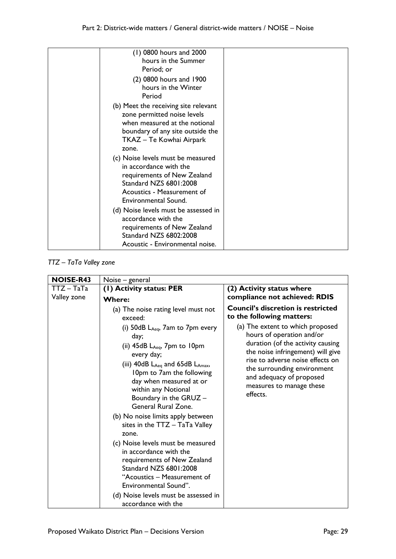| (1) 0800 hours and 2000<br>hours in the Summer<br>Period; or                                                                                                                  |
|-------------------------------------------------------------------------------------------------------------------------------------------------------------------------------|
| (2) 0800 hours and 1900<br>hours in the Winter<br>Period                                                                                                                      |
| (b) Meet the receiving site relevant<br>zone permitted noise levels<br>when measured at the notional<br>boundary of any site outside the<br>TKAZ – Te Kowhai Airpark<br>zone. |
| (c) Noise levels must be measured<br>in accordance with the<br>requirements of New Zealand<br>Standard NZS 6801:2008<br>Acoustics - Measurement of<br>Environmental Sound.    |
| (d) Noise levels must be assessed in<br>accordance with the<br>requirements of New Zealand<br>Standard NZS 6802:2008<br>Acoustic - Environmental noise.                       |

# *TTZ – TaTa Valley zone*

| <b>NOISE-R43</b>            | Noise – general                                                                                                                                                                                                                                                                                              |                                                                                                                                                                                                                                                                                |  |
|-----------------------------|--------------------------------------------------------------------------------------------------------------------------------------------------------------------------------------------------------------------------------------------------------------------------------------------------------------|--------------------------------------------------------------------------------------------------------------------------------------------------------------------------------------------------------------------------------------------------------------------------------|--|
| $TTZ - TaTa$<br>Valley zone | (I) Activity status: PER                                                                                                                                                                                                                                                                                     | (2) Activity status where                                                                                                                                                                                                                                                      |  |
|                             | Where:                                                                                                                                                                                                                                                                                                       | compliance not achieved: RDIS                                                                                                                                                                                                                                                  |  |
|                             | (a) The noise rating level must not<br>exceed:                                                                                                                                                                                                                                                               | <b>Council's discretion is restricted</b><br>to the following matters:                                                                                                                                                                                                         |  |
|                             | (i) $50dB$ $L_{Aeq}$ , $7am$ to $7pm$ every<br>day;<br>(ii) $45dB$ $L_{Aeq}$ , $7pm$ to $10pm$<br>every day;<br>(iii) $40dB$ L <sub>Aeq</sub> and $65dB$ L <sub>Amax</sub> ,<br>10pm to 7am the following<br>day when measured at or<br>within any Notional<br>Boundary in the GRUZ -<br>General Rural Zone. | (a) The extent to which proposed<br>hours of operation and/or<br>duration (of the activity causing<br>the noise infringement) will give<br>rise to adverse noise effects on<br>the surrounding environment<br>and adequacy of proposed<br>measures to manage these<br>effects. |  |
|                             | (b) No noise limits apply between<br>sites in the TTZ - TaTa Valley<br>zone.                                                                                                                                                                                                                                 |                                                                                                                                                                                                                                                                                |  |
|                             | (c) Noise levels must be measured<br>in accordance with the<br>requirements of New Zealand<br>Standard NZS 6801:2008<br>"Acoustics - Measurement of<br>Environmental Sound".                                                                                                                                 |                                                                                                                                                                                                                                                                                |  |
|                             | (d) Noise levels must be assessed in<br>accordance with the                                                                                                                                                                                                                                                  |                                                                                                                                                                                                                                                                                |  |